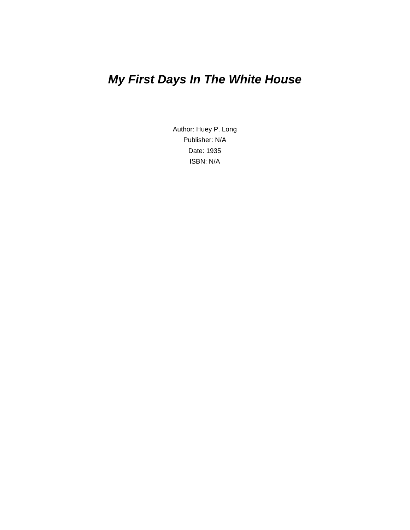# **My First Days In The White House**

Author: Huey P. Long Publisher: N/A Date: 1935 ISBN: N/A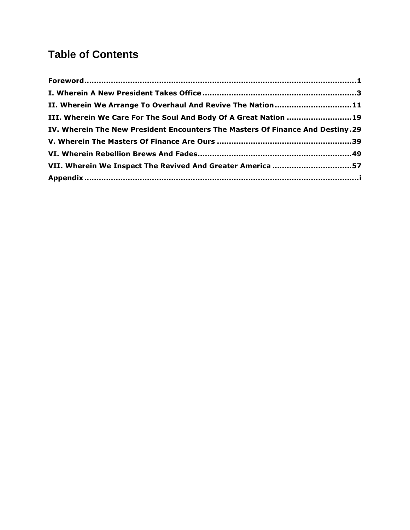# **Table of Contents**

| II. Wherein We Arrange To Overhaul And Revive The Nation11                     |  |
|--------------------------------------------------------------------------------|--|
| III. Wherein We Care For The Soul And Body Of A Great Nation 19                |  |
| IV. Wherein The New President Encounters The Masters Of Finance And Destiny.29 |  |
|                                                                                |  |
|                                                                                |  |
| VII. Wherein We Inspect The Revived And Greater America 57                     |  |
|                                                                                |  |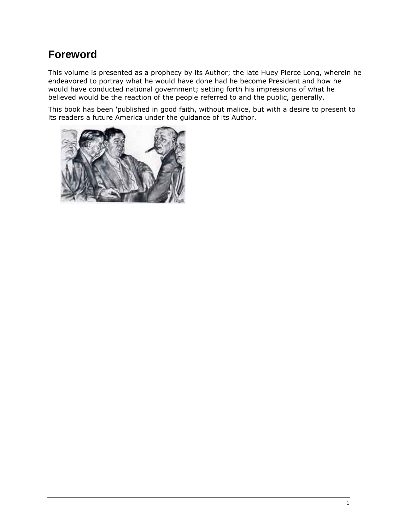# <span id="page-2-0"></span>**Foreword**

This volume is presented as a prophecy by its Author; the late Huey Pierce Long, wherein he endeavored to portray what he would have done had he become President and how he would have conducted national government; setting forth his impressions of what he believed would be the reaction of the people referred to and the public, generally.

This book has been 'published in good faith, without malice, but with a desire to present to its readers a future America under the guidance of its Author.

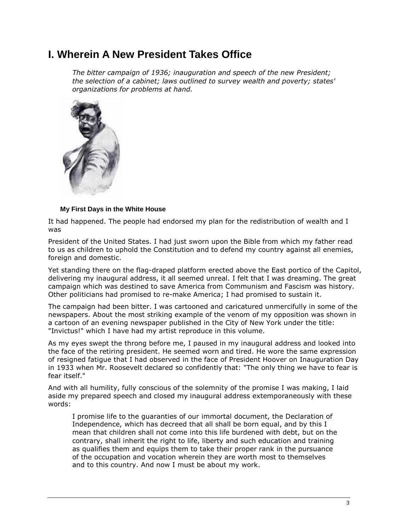### <span id="page-4-0"></span>**I. Wherein A New President Takes Office**

*The bitter campaign of 1936; inauguration and speech of the new President; the selection of a cabinet; laws outlined to survey wealth and poverty; states' organizations for problems at hand.*



### **My First Days in the White House**

It had happened. The people had endorsed my plan for the redistribution of wealth and I was

President of the United States. I had just sworn upon the Bible from which my father read to us as children to uphold the Constitution and to defend my country against all enemies, foreign and domestic.

Yet standing there on the flag-draped platform erected above the East portico of the Capitol, delivering my inaugural address, it all seemed unreal. I felt that I was dreaming. The great campaign which was destined to save America from Communism and Fascism was history. Other politicians had promised to re-make America; I had promised to sustain it.

The campaign had been bitter. I was cartooned and caricatured unmercifully in some of the newspapers. About the most striking example of the venom of my opposition was shown in a cartoon of an evening newspaper published in the City of New York under the title: "Invictus!" which I have had my artist reproduce in this volume.

As my eyes swept the throng before me, I paused in my inaugural address and looked into the face of the retiring president. He seemed worn and tired. He wore the same expression of resigned fatigue that I had observed in the face of President Hoover on Inauguration Day in 1933 when Mr. Roosevelt declared so confidently that: "The only thing we have to fear is fear itself."

And with all humility, fully conscious of the solemnity of the promise I was making, I laid aside my prepared speech and closed my inaugural address extemporaneously with these words:

I promise life to the guaranties of our immortal document, the Declaration of Independence, which has decreed that all shall be born equal, and by this I mean that children shall not come into this life burdened with debt, but on the contrary, shall inherit the right to life, liberty and such education and training as qualifies them and equips them to take their proper rank in the pursuance of the occupation and vocation wherein they are worth most to themselves and to this country. And now I must be about my work.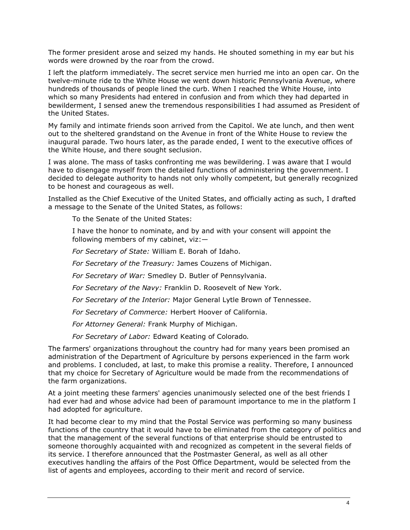The former president arose and seized my hands. He shouted something in my ear but his words were drowned by the roar from the crowd.

I left the platform immediately. The secret service men hurried me into an open car. On the twelve-minute ride to the White House we went down historic Pennsylvania Avenue, where hundreds of thousands of people lined the curb. When I reached the White House, into which so many Presidents had entered in confusion and from which they had departed in bewilderment, I sensed anew the tremendous responsibilities Ihad assumed as President of the United States.

My family and intimate friends soon arrived from the Capitol. We ate lunch, and then went out to the sheltered grandstand on the Avenue in front of the White House to review the inaugural parade. Two hours later, as the parade ended, I went to the executive offices of the White House, and there sought seclusion.

I was alone. The mass of tasks confronting me was bewildering. I was aware that I would have to disengage myself from the detailed functions of administering the government. I decided to delegate authority to hands not only wholly competent, but generally recognized to be honest and courageous as well.

Installed as the Chief Executive of the United States, and officially acting as such, I drafted a message to the Senate of the United States, as follows:

To the Senate of the United States:

I have the honor to nominate, and by and with your consent will appoint the following members of my cabinet, viz: $-$ 

*For Secretary of State:* William E. Borah of Idaho.

*For Secretary of the Treasury: James Couzens of Michigan.* 

*For Secretary of War:* Smedley D. Butler of Pennsylvania.

*For Secretary of the Navy:* Franklin D. Roosevelt of New York.

*For Secretary of the Interior:* Major General Lytle Brown of Tennessee.

*For Secretary of Commerce:* Herbert Hoover of California.

*For Attorney General:* Frank Murphy of Michigan.

*For Secretary of Labor:* Edward Keating of Colorado*.*

The farmers' organizations throughout the country had for many years been promised an administration of the Department of Agriculture by persons experienced in the farm work and problems. I concluded, at last, to make this promise a reality. Therefore, I announced that my choice for Secretary of Agriculture would be made from the recommendations of the farm organizations.

At a joint meeting these farmers' agencies unanimously selected one of the best friends I had ever had and whose advice had been of paramount importance to me in the platform I had adopted for agriculture.

It had become clear to my mind that the Postal Service was performing so many business functions of the country that it would have to be eliminated from the category of politics and that the management of the several functions of that enterprise should be entrusted to someone thoroughly acquainted with and recognized as competent in the several fields of its service. I therefore announced that the Postmaster General, as well as all other executives handling the affairs of the Post Office Department, would be selected from the list of agents and employees, according to their merit and record of service.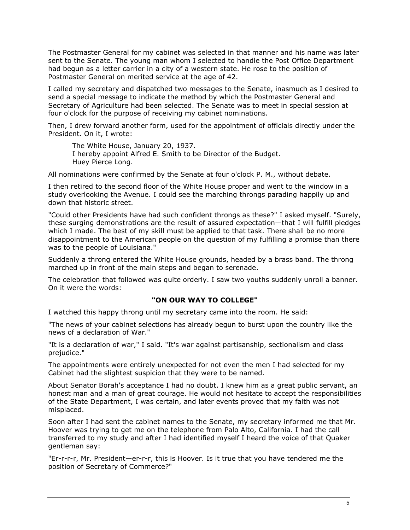The Postmaster General for my cabinet was selected in that manner and his name was later sent to the Senate. The young man whom I selected to handle the Post Office Department had begun as a letter carrier in a city of a western state. He rose to the position of Postmaster General on merited service at the age of 42.

I called my secretary and dispatched two messages to the Senate, inasmuch as Idesired to send a special message to indicate the method by which the Postmaster General and Secretary of Agriculture had been selected. The Senate was to meet in special session at four o'clock for the purpose of receiving my cabinet nominations.

Then, I drew forward another form, used for the appointment of officials directly under the President. On it, I wrote:

The White House, January 20, 1937. I hereby appoint Alfred E. Smith to be Director of the Budget. Huey Pierce Long.

All nominations were confirmed by the Senate at four o'clock P. M., without debate.

I then retired to the second floor of the White House proper and went to the window in a study overlooking the Avenue. I could see the marching throngs parading happily up and down that historic street.

"Could other Presidents have had such confident throngs as these?" I asked myself. "Surely, these surging demonstrations are the result of assured expectation—that I will fulfill pledges which I made. The best of my skill must be applied to that task. There shall be no more disappointment to the American people on the question of my fulfilling a promise than there was to the people of Louisiana."

Suddenly a throng entered the White House grounds, headed by a brass band. The throng marched up in front of the main steps and began to serenade.

The celebration that followed was quite orderly. I saw two youths suddenly unroll a banner. On it were the words:

### **"ON OUR WAY TO COLLEGE"**

I watched this happy throng untilmy secretary came into the room. He said:

"The news of your cabinet selections has already begun to burst upon the country like the news of a declaration of War."

"It is a declaration of war," I said. "It's war against partisanship, sectionalism and class prejudice."

The appointments were entirely unexpected for not even the men I had selected for my Cabinet had the slightest suspicion that they were to be named.

About Senator Borah's acceptance I had no doubt. I knew him as a great public servant, an honest man and a man of great courage. He would not hesitate to accept the responsibilities of the State Department, I was certain, and later events proved that my faith was not misplaced.

Soon after I had sent the cabinet names to the Senate, my secretary informed me that Mr. Hoover was trying to get me on the telephone from Palo Alto, California. I had the call transferred to my study and after I had identified myself I heard the voice of that Quaker gentleman say:

"Er-r-r-r, Mr. President-er-r-r, this is Hoover. Is it true that you have tendered me the position of Secretary of Commerce?"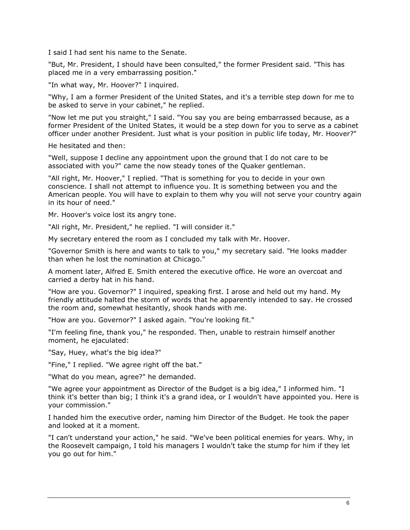I said I had sent his name to the Senate.

"But, Mr. President, I should have been consulted," the former President said. "This has placed me in a very embarrassing position."

"In what way, Mr. Hoover?" I inquired.

"Why, I am a former President of the United States, and it's a terrible step down for me to be asked to serve in your cabinet," he replied.

"Now let me put you straight," I said. "You say you are being embarrassed because, as a former President of the United States, it would be a step down for you to serve as a cabinet officer under another President. Just what is your position in public life today, Mr. Hoover?"

He hesitated and then:

"Well, suppose I decline any appointment upon the ground that I do not care to be associated with you?" came the now steady tones of the Quaker gentleman.

"All right, Mr. Hoover," I replied. "That is something for you to decide in your own conscience. I shall not attempt to influence you. It is something between you and the American people. You will have to explain to them why you will not serve your country again in its hour of need."

Mr. Hoover's voice lost its angry tone.

"All right, Mr. President," he replied. "I will consider it."

My secretary entered the room as I concluded my talk with Mr. Hoover.

"Governor Smith is here and wants to talk to you," my secretary said. "He looks madder than when he lost the nomination at Chicago."

A moment later, Alfred E. Smith entered the executive office. He wore an overcoat and carried a derby hat in his hand.

"How are you. Governor?" I inquired, speaking first. I arose and held out my hand. My friendly attitude halted the storm of words that he apparently intended to say. He crossed the room and, somewhat hesitantly, shook hands with me.

"How are you. Governor?" I asked again. "You're looking fit."

"I'm feeling fine, thank you," he responded. Then, unable to restrain himself another moment, he ejaculated:

"Say, Huey, what's the big idea?"

"Fine," I replied. "We agree right off the bat."

"What do you mean, agree?" he demanded.

"We agree your appointment as Director of the Budget is a big idea," I informed him. "I think it's better than big; I think it's a grand idea, or I wouldn't have appointed you. Here is your commission."

I handed him the executive order, naming him Director of the Budget. He took the paper and looked at it a moment.

"I can't understand your action," he said. "We've been political enemies for years. Why, in the Roosevelt campaign, I told his managers I wouldn't take the stump for him if they let you go out for him."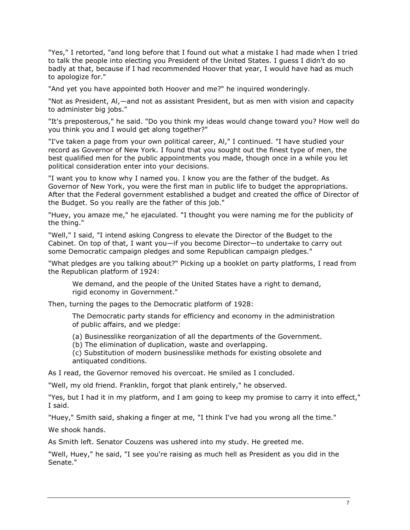"Yes," I retorted, "and long before that I found out what a mistake I had made when I tried to talk the people into electing you President of the United States. I guess I didn't do so badly at that, because if I had recommended Hoover that year, I would have had as much to apologize for."

"And yet you have appointed both Hoover and me?" he inquired wonderingly.

"Not as President, Al, and not as assistant President, but as men with vision and capacity to administer big jobs."

"It's preposterous," he said. "Do you think my ideas would change toward you? How well do you think you and I would get along together?"

"I've taken a page from your own political career, Al," I continued. "I have studied your record as Governor of New York. I found that you sought out the finest type of men, the best qualified men for the public appointments you made, though once in a while you let political consideration enter into your decisions.

"I want you to know why I named you. I know you are the father of the budget. As Governor of New York, you were the first man in public life to budget the appropriations. After that the Federal government established a budget and created the office of Director of the Budget. So you really are the father of this job."

"Huey, you amaze me," he ejaculated. "I thought you were naming me for the publicity of the thing."

"Well," I said, "I intend asking Congress to elevate the Director of the Budget to the Cabinet. On top of that, I want you-if you become Director-to undertake to carry out some Democratic campaign pledges and some Republican campaign pledges."

"What pledges are you talking about?" Picking up a booklet on party platforms, I read from the Republican platform of 1924:

We demand, and the people of the United States have a right to demand, rigid economy in Government."

Then, turning the pages to the Democratic platform of 1928:

The Democratic party stands for efficiency and economy in the administration of public affairs, and we pledge:

(a) Businesslike reorganization of all the departments ofthe Government.

(b) The elimination of duplication, waste and overlapping.

(c) Substitution of modern businesslike methods for existing obsolete and antiquated conditions.

As I read, the Governor removed his overcoat. He smiled as I concluded.

"Well, my old friend. Franklin, forgot that plank entirely," he observed.

"Yes, but I had it in my platform, and I am going to keep my promise to carry it into effect," I said.

"Huey," Smith said, shaking a finger at me, "I think I've had you wrong all the time."

We shook hands.

As Smith left. Senator Couzens was ushered into my study. He greeted me.

"Well, Huey," he said, "I see you're raising as much hell as President as you did in the Senate."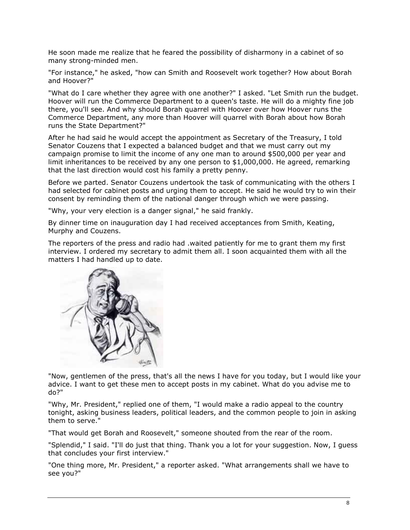He soon made me realize that he feared the possibility of disharmony in a cabinet of so many strong-minded men.

"For instance," he asked, "how can Smith and Roosevelt work together? How about Borah and Hoover?"

"What do I care whether they agree with one another?" I asked. "Let Smith run the budget. Hoover will run the Commerce Department to a queen's taste. He will do a mighty fine job there, you'll see. And why should Borah quarrel with Hoover over how Hoover runs the Commerce Department, any more than Hoover will quarrel with Borah about how Borah runs the State Department?"

After he had said he would accept the appointment as Secretary of the Treasury, I told Senator Couzens that I expected a balanced budget and that we must carry out my campaign promise to limit the income of any one man to around \$500,000 per year and limit inheritances to be received by any one person to \$1,000,000. He agreed, remarking that the last direction would cost his family a pretty penny.

Before we parted. Senator Couzens undertook the task of communicating with the others I had selected for cabinet posts and urging them to accept. He said he would try to win their consent by reminding them of the national danger through which we were passing.

"Why, your very election is a danger signal," he said frankly.

By dinner time on inauguration day I had received acceptances from Smith, Keating, Murphy and Couzens.

The reporters of the press and radio had .waited patiently for me to grant them my first interview. I ordered my secretary to admit them all. I soon acquainted them withall the matters I had handled up to date.



"Now, gentlemen of the press, that's all the news Ihave for you today, but I would like your advice. I want to get these men to accept posts in my cabinet. What do you advise me to do?"

"Why, Mr. President," replied one of them, "I would make a radio appeal to the country tonight, asking business leaders, political leaders, and the common people to join in asking them to serve."

"That would get Borah and Roosevelt," someone shouted from the rear of the room.

"Splendid," I said. "I'll do just that thing. Thank you a lot for your suggestion. Now, I guess that concludes your first interview."

"One thing more, Mr. President," a reporter asked. "What arrangements shall we have to see you?"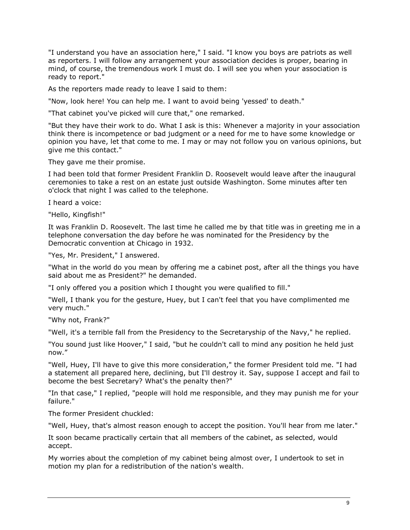"I understand you have an association here," I said. "I know you boys are patriots as well as reporters. I will follow any arrangement your association decides is proper, bearing in mind, of course, the tremendous work I must do. I will see you when your association is ready to report."

As the reporters made ready to leave I said to them:

"Now, look here! You can help me. I want to avoid being 'yessed' to death."

"That cabinet you've picked will cure that," one remarked.

"But they have their work to do. What I ask is this: Whenever a majority in your association think there is incompetence or bad judgment or a need for me to have some knowledge or opinion you have, let that come to me. I may or may not follow you on various opinions, but give me this contact."

They gave me their promise.

I had been told that former President Franklin D. Roosevelt would leave after the inaugural ceremonies to take a rest on an estate just outside Washington. Some minutes after ten o'clock that night I was called to the telephone.

I heard a voice:

"Hello, Kingfish!"

It was Franklin D. Roosevelt. The last time he called me by that title was in greeting me in a telephone conversation the day before he was nominated for the Presidency by the Democratic convention at Chicago in 1932.

"Yes, Mr. President," I answered.

"What in the world do you mean by offering me a cabinet post, after all the things you have said about me as President?" he demanded.

"I only offered you a position which I thought you were qualified to fill."

"Well, I thank you for the gesture, Huey, but I can't feel that you have complimented me very much."

"Why not, Frank?"

"Well, it's a terrible fall from the Presidency to the Secretaryship of the Navy," he replied.

"You sound just like Hoover," I said, "but he couldn't call to mind any position he held just now."

"Well, Huey, I'll have to give this more consideration," the former President told me. "I had a statement all prepared here, declining, but I'll destroy it. Say, suppose I accept and fail to become the best Secretary? What's the penalty then?"

"In that case," I replied, "people will hold me responsible, and they may punish me for your failure."

The former President chuckled:

"Well, Huey, that's almost reason enough to accept the position. You'll hear from me later."

It soon became practically certain that all members of the cabinet, as selected, would accept.

My worries about the completion of my cabinet being almost over, I undertook to set in motion my plan for a redistribution of the nation's wealth.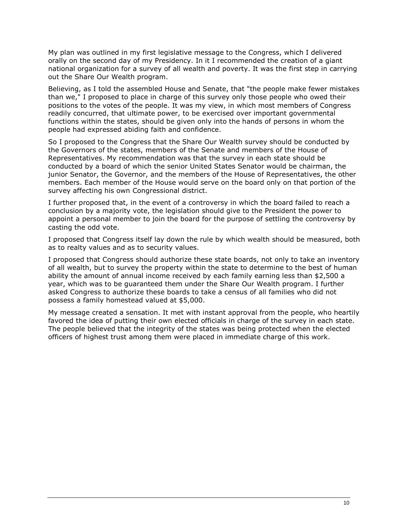My plan was outlined in my first legislative message to the Congress, which I delivered orally on the second day of my Presidency. In it I recommended the creation of a giant national organization for a survey of all wealth and poverty. It was the first step in carrying out the Share Our Wealth program.

Believing, as I told the assembled House and Senate, that "the people make fewer mistakes than we," I proposed to place in charge of this survey only those people who owed their positions to the votes of the people. It was my view, in which most members of Congress readily concurred, that ultimate power, to be exercised over important governmental functions within the states, should be given only into the hands of persons in whom the people had expressed abiding faith and confidence.

So I proposed to the Congress that the Share Our Wealth survey should be conducted by the Governors of the states, members of the Senate and members of the House of Representatives. My recommendation was that the survey in each state should be conducted by a board of which the senior United States Senator would be chairman, the junior Senator, the Governor, and the members of the House of Representatives, the other members. Each member of the House would serve on the board only on that portion of the survey affecting his own Congressional district.

I further proposed that, in the event of a controversy in which the board failed to reach a conclusion by a majority vote, the legislation should give to the President the power to appoint a personal member to join the board for the purpose of settling the controversy by casting the odd vote.

I proposed that Congress itself lay down the rule by which wealth should be measured, both as to realty values and as to security values.

I proposed that Congress should authorize these state boards, not only to take an inventory of all wealth, but to survey the property within the state to determine to the best of human ability the amount of annual income received by each family earning less than \$2,500 a year, which was to be guaranteed them under the Share Our Wealth program. I further asked Congress to authorize these boards to take a census of all families who did not possess a family homestead valued at \$5,000.

My message created a sensation. It met with instant approval from the people, who heartily favored the idea of putting their own elected officials in charge of the survey in each state. The people believed that the integrity of the states was being protected when the elected officers of highest trust among them were placed in immediate charge of this work.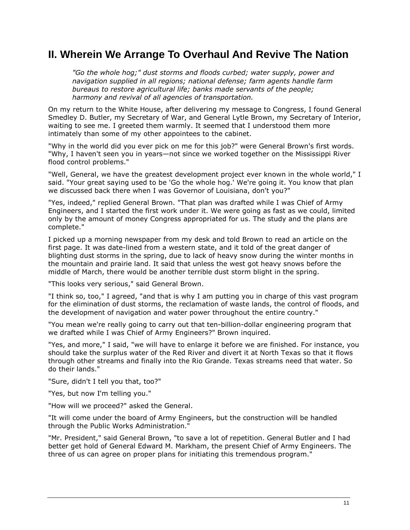### <span id="page-12-0"></span>**II. Wherein We Arrange To Overhaul And Revive The Nation**

*"Go the whole hog;" dust storms and floods curbed; water supply, power and navigation supplied in all regions; national defense; farm agents handle farm bureaus to restore agricultural life; banks made servants of the people; harmony and revival of all agencies of transportation.*

On my return to the White House, after delivering my message to Congress, I found General Smedley D. Butler, my Secretary of War, and General Lytle Brown, my Secretary of Interior, waiting to see me. I greeted them warmly. It seemed that I understood them more intimately than some of my other appointees to the cabinet.

"Why in the world did you ever pick on me for this job?" were General Brown's first words. "Why, I haven't seen you in years—not since we worked together on the Mississippi River flood control problems."

"Well, General, we have the greatest development project ever known in the whole world," I said. "Your great saying used to be 'Go the whole hog.' We're going it. You know that plan we discussed back there when I was Governor of Louisiana, don't you?"

"Yes, indeed," replied General Brown. "That plan was drafted while I was Chief of Army Engineers, and I started the first work under it. We were going as fast as we could, limited only by the amount of money Congress appropriated for us. The study and the plans are complete."

I picked up a morning newspaper from my desk and told Brown to read an article on the first page. It was date-lined from a western state, and it told of the great danger of blighting dust storms in the spring, due to lack of heavy snow during the winter months in the mountain and prairie land. It said that unless the west got heavy snows before the middle of March, there would be another terrible dust storm blight in the spring.

"This looks very serious," said General Brown.

"I think so, too," I agreed, "and that is why I am putting you in charge of this vast program for the elimination of dust storms, the reclamation of waste lands, the control of floods, and the development of navigation and water power throughout the entire country."

"You mean we're really going to carry out that ten-billion-dollar engineering program that we drafted while I was Chief of Army Engineers?" Brown inquired.

"Yes, and more," I said, "we will have to enlarge it before we are finished. For instance, you should take the surplus water of the Red River and divert it at North Texas so that it flows through other streams and finally into the Rio Grande. Texas streams need that water. So do their lands."

"Sure, didn't I tell you that, too?"

"Yes, but now I'm telling you."

"How will we proceed?" asked the General.

"It will come under the board of Army Engineers, but the construction will be handled through the Public Works Administration."

"Mr. President," said General Brown, "to save a lot of repetition. General Butler and I had better get hold of General Edward M. Markham, the present Chief of Army Engineers. The three of us can agree on proper plans for initiating this tremendous program."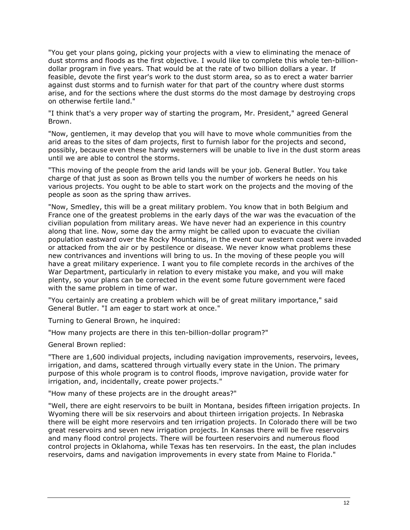"You get your plans going, picking your projects with a view to eliminating the menace of dust storms and floods as the first objective. I would like to complete this whole ten-billion dollar program in five years. That would be at the rate of two billion dollars a year. If feasible, devote the first year's work to the dust storm area, so as to erect a water barrier against dust storms and to furnish water for that part of the country where dust storms arise, and for the sections where the dust storms do the most damage by destroying crops on otherwise fertile land."

"I think that's a very proper way of starting the program, Mr. President," agreed General Brown.

"Now, gentlemen, it may develop that you will have to move whole communities from the arid areas to the sites of dam projects, first to furnish labor for the projects and second, possibly, because even these hardy westerners will be unable to live in the dust storm areas until we are able to control the storms.

"This moving of the people from the arid lands will be your job. General Butler. You take charge of that just as soon as Brown tells you the number of workers he needs on his various projects. You ought to be able to start work on the projects and the moving of the people as soon as the spring thaw arrives.

"Now, Smedley, this will be a great military problem. You know that in both Belgium and France one of the greatest problems in the early days of the war was the evacuation of the civilian population from military areas. We have never had an experience in this country along that line. Now, some day the army might be called upon to evacuate the civilian population eastward over the Rocky Mountains, in the event our western coast were invaded or attacked from the air or by pestilence or disease. We never know what problems these new contrivances and inventions will bring to us. In the moving of these people you will have a great military experience. I want you to file complete records in the archives of the War Department, particularly in relation to every mistake you make, and you will make plenty, so your plans can be corrected in the event some future government were faced with the same problem in time of war.

"You certainly are creating a problem which will be of great military importance," said General Butler. "I am eager to start work at once."

Turning to General Brown, he inquired:

"How many projects are there in this ten-billion-dollar program?"

General Brown replied:

"There are 1,600 individual projects, including navigation improvements, reservoirs, levees, irrigation, and dams, scattered through virtually every state in the Union. The primary purpose of this whole program is to control floods, improve navigation, provide water for irrigation, and, incidentally, create power projects."

"How many of these projects are in the drought areas?"

"Well, there are eight reservoirs to be built in Montana, besides fifteen irrigation projects. In Wyoming there will be six reservoirs and about thirteen irrigation projects. In Nebraska there will be eight more reservoirs and ten irrigation projects. In Colorado there will be two great reservoirs and seven new irrigation projects. In Kansas there will be five reservoirs and many flood control projects. There will be fourteen reservoirs and numerous flood control projects in Oklahoma, while Texas has ten reservoirs. In the east, the plan includes reservoirs, dams and navigation improvements in every state from Maine to Florida."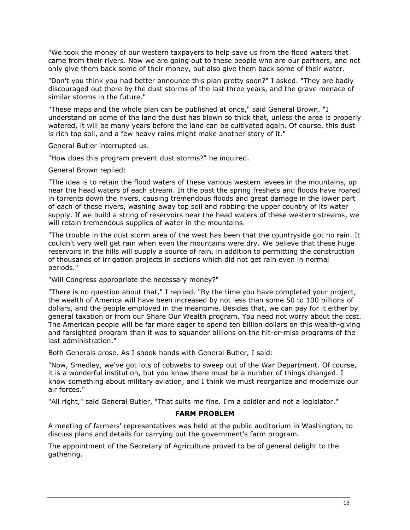"We took the money of our western taxpayers to help save us from the flood waters that came from their rivers. Now we are going out to these people who are our partners, and not only give them back some of their money, but also give them back some of their water.

"Don't you think you had better announce this plan pretty soon?" I asked. "They are badly discouraged out there by the dust storms of the last three years, and the grave menace of similar storms in the future."

"These maps and the whole plan can be published at once," said General Brown. "I understand on some of the land the dust has blown so thick that, unless the area is properly watered, it will be many years before the land can be cultivated again. Of course, this dust is rich top soil, and a few heavy rains might make another story of it."

General Butler interrupted us.

"How does this program prevent dust storms?" he inquired.

General Brown replied:

"The idea is to retain the flood waters of these various western levees in the mountains, up near the head waters of each stream. In the past the spring freshets and floods have roared in torrents down the rivers, causing tremendous floods and great damage in the lower part of each of these rivers, washing away top soil and robbing the upper country of its water supply. If we build a string of reservoirs near the head waters of these western streams, we will retain tremendous supplies of water in the mountains.

"The trouble in the dust storm area of the west has been that the countryside got no rain. It couldn't very well get rain when even the mountains were dry. We believe that these huge reservoirs in the hills will supply a source of rain, in addition to permitting the construction of thousands ofirrigation projects in sections which did not get rain even in normal periods."

"Will Congress appropriate the necessary money?"

"There is no question about that," I replied. "By the time you have completed your project, the wealth of America will have been increased by not less than some 50 to 100 billions of dollars, and the people employed in the meantime. Besides that, we can pay for it either by general taxation or from our Share Our Wealth program. You need not worry about the cost. The American people will be far more eager to spend ten billion dollars on this wealth-giving and farsighted program than it was to squander billions on the hit-or-miss programs of the last administration."

Both Generals arose. As I shook hands with General Butler, I said:

"Now, Smedley, we've got lots of cobwebs to sweep out of the War Department. Of course, it is a wonderful institution, but you know there must be a number of things changed. I know something about military aviation, and I think we must reorganize and modernize our air forces."

"All right," said General Butler, "That suits me fine. I'm a soldier and not a legislator."

### **FARM PROBLEM**

A meeting of farmers' representatives was held at the public auditorium in Washington, to discuss plans and details for carrying out the government's farm program.

The appointment of the Secretary of Agriculture proved to be of general delight to the gathering.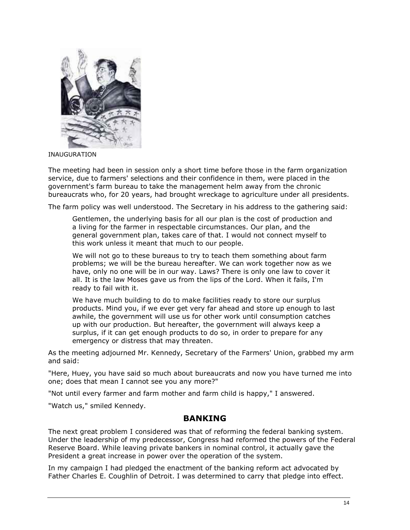

INAUGURATION

The meeting had been in session only a short time before those in the farm organization service, due to farmers' selections and their confidence in them, were placed in the government's farm bureau to take the management helm away from the chronic bureaucrats who, for 20 years, had brought wreckage to agriculture under all presidents.

The farm policy was well understood. The Secretary in his address to the gathering said:

Gentlemen, the underlying basis for all our plan is the cost of production and a living for the farmer in respectable circumstances. Our plan, and the general government plan, takes care of that. I would not connect myself to this work unless it meant that much to our people.

We will not go to these bureaus to try to teach them something about farm problems; we will be the bureau hereafter. We can work together now as we have, only no one will be in our way. Laws? There is only one law to cover it all. It is the law Moses gave us from the lips of the Lord. When it fails, I'm ready to fail with it.

We have much building to do to make facilities ready to store our surplus products. Mind you, if we ever get very far ahead and store up enough to last awhile, the government will use us for other work until consumption catches up with our production. But hereafter, the government will always keep a surplus, if it can get enough products to do so, in order to prepare for any emergency or distress that may threaten.

As the meeting adjourned Mr. Kennedy, Secretary of the Farmers' Union, grabbed my arm and said:

"Here, Huey, you have said so much about bureaucrats and now you have turned me into one; does that mean I cannot see you any more?"

"Not until every farmer and farm motherand farm child is happy," I answered.

"Watch us," smiled Kennedy.

### **BANKING**

The next great problem I considered was that of reforming the federal banking system. Under the leadership of my predecessor, Congress had reformed the powers of the Federal Reserve Board. While leaving private bankers in nominal control, it actually gave the President a great increase in power over the operation of the system.

In my campaign I had pledged the enactment of the banking reform act advocated by Father Charles E. Coughlin of Detroit. I was determined to carry that pledge into effect.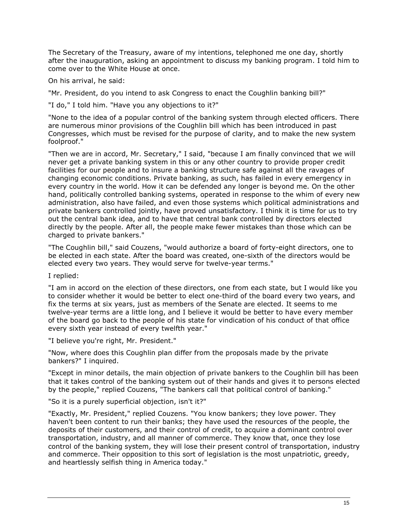The Secretary of the Treasury, aware of my intentions, telephoned me one day, shortly after the inauguration, asking an appointment to discuss my banking program. I told him to come over to the White House at once.

On his arrival, he said:

"Mr. President, do you intend to ask Congress to enact the Coughlin banking bill?"

"I do," I told him. "Have you any objections to it?"

"None to the idea of a popular control of the banking system through elected officers. There are numerous minor provisions of the Coughlin bill which has been introduced in past Congresses, which must be revised for the purpose of clarity, and to make the new system foolproof."

"Then we are in accord, Mr. Secretary," I said, "because I am finally convinced that we will never get a private banking system in this or any other country to provide proper credit facilities for our people and to insure a banking structure safe against all the ravages of changing economic conditions. Private banking, as such, has failed in every emergency in every country in the world. How it can be defended any longer is beyond me. On the other hand, politically controlled banking systems, operated in response to the whim of every new administration, also have failed, and even those systems which political administrations and private bankers controlled jointly, have proved unsatisfactory. I think it is time for us to try out the central bank idea, and to have that central bank controlled by directors elected directly by the people. After all, the people make fewer mistakes than those which can be charged to private bankers."

"The Coughlin bill," said Couzens, "would authorize a board of forty-eight directors, one to be elected in each state. After the board was created, one-sixth of the directors would be elected every two years. They would serve for twelve-year terms."

I replied:

"I am in accord on the election of these directors, one from each state, but I would like you to consider whether it would be better to elect one-third of the board every two years, and fix the terms at six years, just as members of the Senate are elected. It seems to me twelve-year terms are a little long, and I believe it would be better to have every member of the board go back to the people of his state for vindication of his conduct of that office every sixth year instead of every twelfth year."

"I believe you're right, Mr. President."

"Now, where does this Coughlin plan differ from the proposals made by the private bankers?" I inquired.

"Except in minor details, the main objection of private bankers to the Coughlin bill has been that it takes control of the banking system out of their hands and gives it to persons elected by the people," replied Couzens, "The bankers call that political control of banking."

"So it is a purely superficial objection, isn't it?"

"Exactly, Mr. President," replied Couzens. "You know bankers; they love power. They haven't been content to run their banks; they have used the resources of the people, the deposits oftheir customers, and their control of credit, to acquire a dominant control over transportation, industry, and all manner of commerce. They know that, once they lose control of the banking system, they will lose their present control of transportation, industry and commerce. Their opposition to this sort of legislation is the most unpatriotic, greedy, and heartlessly selfish thing in America today."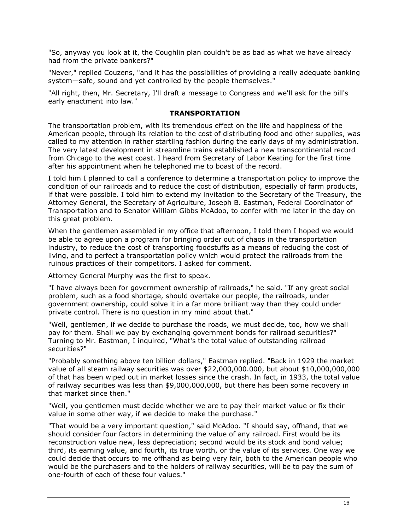"So, anyway you look at it, the Coughlin plan couldn't be as bad as what we have already had from the private bankers?"

"Never," replied Couzens, "and it has the possibilities of providing a really adequate banking system-safe, sound and yet controlled by the people themselves."

"All right, then, Mr. Secretary, I'll draft a message to Congress and we'll ask for the bill's early enactment into law."

### **TRANSPORTATION**

The transportation problem, with its tremendous effect on the life and happiness of the American people, through its relation to the cost of distributing food and other supplies, was called to my attention in rather startling fashion during the early days of my administration. The very latest development in streamline trains established a new transcontinental record from Chicago to the west coast. I heard from Secretary of Labor Keating for the first time after his appointment when he telephoned me to boast of the record.

I told him I planned to call a conference to determine a transportation policy to improve the condition of our railroads and to reduce the cost of distribution, especially of farm products, if that were possible. I told him to extend my invitation to the Secretary of the Treasury, the Attorney General, the Secretary of Agriculture, Joseph B. Eastman, Federal Coordinator of Transportation and to Senator William Gibbs McAdoo, to confer with me later in the day on this great problem.

When the gentlemen assembled in my office that afternoon, I told them I hoped we would be able to agree upon a program for bringing order out of chaos in the transportation industry, to reduce the cost of transporting foodstuffs as a means ofreducing the cost of living, and to perfect a transportation policy which would protect the railroads from the ruinous practices of their competitors. I asked for comment.

Attorney General Murphy was the first to speak.

"I have always been for government ownership of railroads," he said. "If any great social problem, such as a food shortage, should overtake our people, the railroads, under government ownership, could solve it in a far more brilliant way than they could under private control. There is no question in my mind about that."

"Well, gentlemen, if we decide to purchase the roads, we must decide, too, how we shall pay for them. Shall we pay by exchanging government bonds for railroad securities?" Turning to Mr. Eastman, I inquired, "What's the total value of outstanding railroad securities?"

"Probably something above ten billion dollars," Eastman replied. "Back in 1929 the market value of all steam railway securities was over \$22,000,000.000, but about \$10,000,000,000 of that has been wiped out in market losses since the crash. In fact, in 1933, the total value of railway securities was less than \$9,000,000,000, but there has been some recovery in that market since then."

"Well, you gentlemen must decide whether we are to pay their market value or fix their value in some other way, if we decide to make the purchase."

"That would be a very important question," said McAdoo. "I should say, offhand, that we should consider four factors in determining the value of any railroad. First would be its reconstruction value new, less depreciation; second would be its stock and bond value; third, its earning value, and fourth, its true worth, or the value of its services. One way we could decide that occurs to me offhand as being very fair, both to the American people who would be the purchasers and to the holders of railway securities, will be to pay the sum of one-fourth of each of these four values."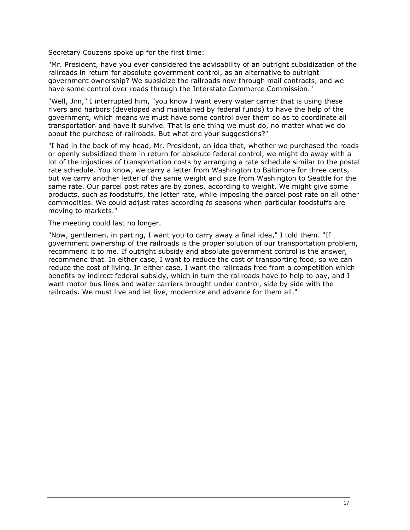Secretary Couzens spoke up for the first time:

"Mr. President, have you ever considered the advisability of an outright subsidization of the railroads in return for absolute government control, as an alternative to outright government ownership? We subsidize the railroads now through mail contracts, and we have some control over roads through the Interstate Commerce Commission."

"Well, Jim," I interrupted him, "you know I want every water carrier that is using these rivers and harbors (developed and maintained by federal funds) to have the help of the government, which means we must have some control over them so as to coordinate all transportation and have it survive. That is one thing we must do, no matter what we do about the purchase of railroads. But what are your suggestions?"

"I had in the back of my head, Mr. President, an idea that, whether we purchased the roads or openly subsidized them in return for absolute federal control, we might do away with a lot of the injustices of transportation costs by arranging a rate schedule similar to the postal rate schedule. You know, we carry a letter from Washington to Baltimore for three cents, but we carry another letter of the same weight and size from Washington to Seattle for the same rate. Our parcel post rates are by zones, according to weight. We might give some products, such as foodstuffs, the letter rate, while imposing the parcel post rate on all other commodities. We could adjust rates according *to* seasons when particular foodstuffs are moving to markets."

The meeting could last no longer.

"Now, gentlemen, in parting, I want you to carry away a final idea," I told them. "If government ownership of the railroads is the proper solution of our transportation problem, recommend it to me. If outright subsidy and absolute government control is the answer, recommend that. In either case, I want to reduce the cost of transporting food, so we can reduce the cost of living. In either case, I want the railroads free from a competition which benefits by indirect federal subsidy, which in turn the railroads have to help to pay, and I want motor bus lines and water carriers brought under control, side by side with the railroads. We must live and let live, modernize and advance for them all."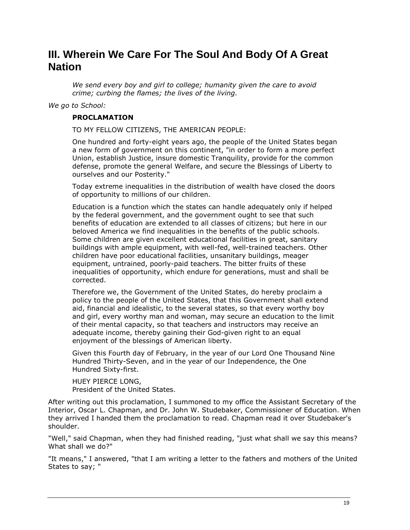### <span id="page-20-0"></span>**III. Wherein We Care For The Soul And Body Of A Great Nation**

*We send every boy and girl to college; humanity given the care to avoid crime; curbing the flames; the lives of the living.*

*We go to School:*

### **PROCLAMATION**

TO MY FELLOW CITIZENS, THE AMERICAN PEOPLE:

One hundred and forty-eight years ago, the people of the United States began a new form of government on this continent, "in order to form a more perfect Union, establish Justice, insure domestic Tranquility, provide for the common defense, promote the general Welfare, and secure the Blessings of Liberty to ourselves and our Posterity."

Today extreme inequalities in the distribution of wealth have closed the doors of opportunity to millions of our children.

Education is a function which the states can handle adequately only if helped by the federal government, and the government ought to see that such benefits of education are extended to all classes of citizens; but here in our beloved America we find inequalities in the benefits of the public schools. Some children are given excellent educational facilities in great, sanitary buildings with ample equipment, with well-fed, well-trained teachers. Other children have poor educational facilities, unsanitary buildings, meager equipment, untrained, poorly-paid teachers. The bitter fruits of these inequalities of opportunity, which endure for generations, must and shall be corrected.

Therefore we, the Government of the United States, do hereby proclaim a policy to the people of the United States, that this Government shall extend aid, financial and idealistic, to the several states, so that every worthy boy and girl, every worthy man and woman, may secure an education to the limit of their mental capacity, so that teachers and instructors may receive an adequate income, thereby gaining their God-given right to an equal enjoyment of the blessings of American liberty.

Given this Fourth day of February, in the year of our Lord One Thousand Nine Hundred Thirty-Seven, and in the year of our Independence, the One Hundred Sixty-first.

HUEY PIERCE LONG, President of the United States.

After writing out this proclamation, I summoned to my office the Assistant Secretary of the Interior, Oscar L. Chapman, and Dr. John W. Studebaker, Commissioner of Education. When they arrived I handed them the proclamation to read. Chapman read it over Studebaker's shoulder.

"Well," said Chapman, when they had finished reading, "just what shall we say this means? What shall we do?"

"It means," I answered, "that I am writing a letter to the fathers and mothers of the United States to say; "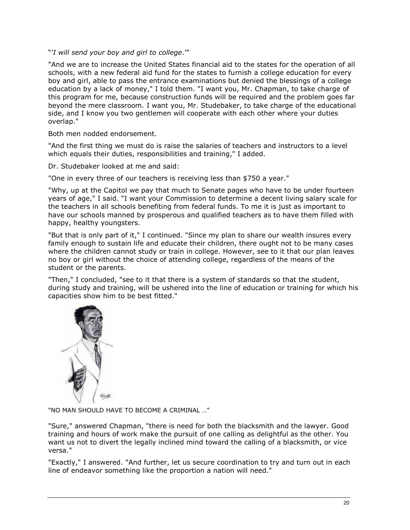ìí*I will send your boy and girl to college*.íî

"And we are to increase the United States financial aid to the states for the operation of all schools, with a new federal aid fund for the states to furnish a college education for every boy and girl, able to pass the entrance examinations but denied the blessings of a college education by a lack of money," I told them. "I want you, Mr. Chapman, to take charge of this program for me, because construction funds will be required and the problem goes far beyond the mere classroom. I want you, Mr. Studebaker, to take charge of the educational side, and I know you two gentlemen will cooperate with each other where your duties overlap."

Both men nodded endorsement.

"And the first thing we must do is raise the salaries of teachers and instructors to a level which equals their duties, responsibilities and training," I added.

Dr. Studebaker looked at me and said:

"One in every three of our teachers is receiving less than \$750 a year."

"Why, up at the Capitol we pay that much to Senate pages who have to be under fourteen years of age," I said. "I want your Commission to determine a decent living salary scale for the teachers in all schools benefiting from federal funds. To me it is just as important to have our schools manned by prosperous and qualified teachers as to have them filled with happy, healthy youngsters.

"But that is only part of it," I continued. "Since my plan to share our wealth insures every family enough to sustain life and educate their children, there ought not to be many cases where the children cannot study or train in college. However, see to it that our plan leaves no boy or girl without the choice of attending college, regardless of the means of the student or the parents.

"Then," I concluded, "see to it that there is a system of standards so that the student, during study and training, will be ushered into the line of education or training for which his capacities show him to be best fitted."



"NO MAN SHOULD HAVE TO BECOME A CRIMINAL ..."

"Sure," answered Chapman, "there is need for both the blacksmith and the lawyer. Good training and hours of work make the pursuit of one calling as delightful as the other. You want us not to divert the legally inclined mind toward the calling of a blacksmith, or vice versa."

"Exactly," I answered. "And further, let us secure coordination to try and turn out in each line of endeavor something like the proportion a nation will need."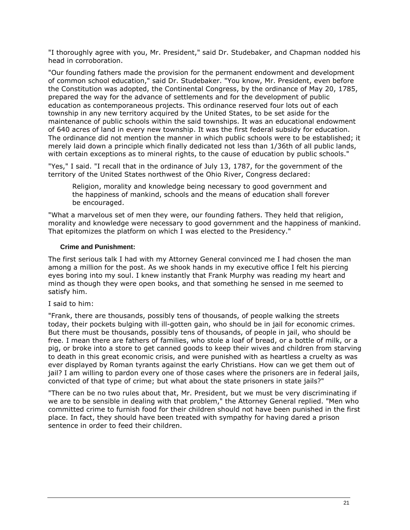"I thoroughly agree with you, Mr. President," said Dr. Studebaker, and Chapman nodded his head in corroboration.

"Our founding fathers made the provision for the permanent endowment and development of common school education," said Dr. Studebaker. "You know, Mr. President, even before the Constitution was adopted, the Continental Congress, by the ordinance of May 20, 1785, prepared the way for the advance of settlements and for the development of public education as contemporaneous projects. This ordinance reserved four lots out of each township in any new territory acquired by the United States, to be set aside for the maintenance of public schools within the said townships. It was an educational endowment of 640 acres of land in every new township. It was the first federal subsidy for education. The ordinance did not mention the manner in which public schools were to be established; it merely laid down a principle which finally dedicated not less than 1/36th of all public lands, with certain exceptions as to mineral rights, to the cause of education by public schools."

"Yes," I said. "I recall that in the ordinance of July 13, 1787, for the government of the territory of the United States northwest of the Ohio River, Congress declared:

Religion, morality and knowledge being necessary to good government and the happiness of mankind, schools and the means of education shall forever be encouraged.

"What a marvelous set of men they were, our founding fathers. They held that religion, morality and knowledge were necessary to good government and the happiness of mankind. That epitomizes the platform on which I was elected to the Presidency."

### **Crime and Punishment:**

The first serious talk I had with my Attorney General convinced me I had chosen the man among a million for the post. As we shook hands in my executive office I felt his piercing eyes boring into my soul. I knew instantly that Frank Murphy was reading my heart and mind as though they were open books, and that something he sensed in me seemed to satisfy him.

### I said to him:

"Frank, there are thousands, possibly tens of thousands, of people walking the streets today, their pockets bulging with ill-gotten gain, who should be in jail for economic crimes. But there must be thousands, possibly tens of thousands, of people in jail, who should be free. I mean there are fathers of families, who stole a loaf of bread, or a bottle of milk, or a pig, or broke into a store to get canned goods to keep their wives and children from starving to death in this great economic crisis, and were punished with as heartless a cruelty as was ever displayed by Roman tyrants against the early Christians. How can we get them out of jail? I am willing to pardon every one of those cases where the prisoners are in federal jails, convicted of that type of crime; but what about the state prisoners in state jails?"

"There can be no two rules about that, Mr. President, but we must be very discriminating if we are to be sensible in dealing with that problem," the Attorney General replied. "Men who committed crime to furnish food for their children should not have been punished in the first place. In fact, they should have been treated with sympathy for having dared a prison sentence in order to feed their children.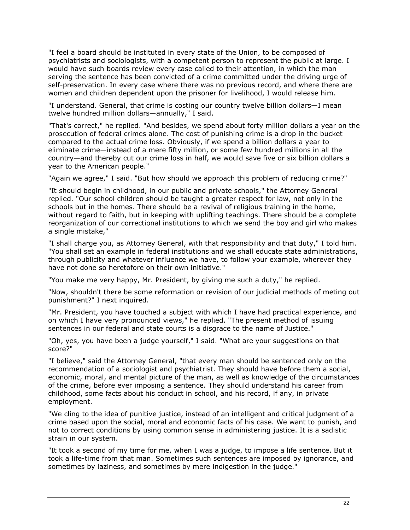"I feel a board should be instituted in every state of the Union, to be composed of psychiatrists and sociologists, with a competent person to represent the public at large. I would have such boards review every case called to their attention, in which the man serving the sentence has been convicted of a crime committed under the driving urge of self-preservation. In every case where there was no previous record, and where there are women and children dependent upon the prisoner for livelihood, I would release him.

"I understand. General, that crime is costing our country twelve billion dollars—I mean twelve hundred million dollars-annually," I said.

"That's correct," he replied. "And besides, we spend about forty million dollars a year on the prosecution of federal crimes alone. The cost of punishing crime is a drop in the bucket compared to the actual crime loss. Obviously, if we spend a billion dollars a year to eliminate crime—instead of a mere fifty million, or some few hundred millions in all the country-and thereby cut our crime loss in half, we would save five or six billion dollars a year to the American people."

"Again we agree," I said. "But how should we approach this problem of reducing crime?"

"It should begin in childhood, in our public and private schools," the Attorney General replied. "Our school children should be taught a greater respect for law, not only in the schools but in the homes. There should be a revival of religious training in the home, without regard to faith, but in keeping with uplifting teachings. There should be a complete reorganization of our correctional institutions to which we send the boy and girl who makes a single mistake,"

"I shall charge you, as Attorney General, with that responsibility and that duty," I told him. "You shall set an example in federal institutions and we shall educate state administrations, through publicity and whatever influence we have, to follow your example, wherever they have not done so heretofore on their own initiative."

"You make me very happy, Mr. President, by giving me such a duty," he replied.

"Now, shouldn't there be some reformation or revision of our judicial methods of meting out punishment?" I next inquired.

"Mr. President, you have touched a subject with which I have had practical experience, and on which I have very pronounced views," he replied. "The present method of issuing sentences in our federal and state courts is a disgrace to the name of Justice."

"Oh, yes, you have been a judge yourself," I said. "What are your suggestions on that score?"

"I believe," said the Attorney General, "that every man should be sentenced only on the recommendation of a sociologist and psychiatrist. They should have before them a social, economic, moral, and mental picture of the man, as well as knowledge of the circumstances of the crime, before ever imposing a sentence. They should understand his career from childhood, some facts about his conduct in school, and his record, if any, in private employment.

"We cling to the idea of punitive justice, instead of an intelligent and critical judgment of a crime based upon the social, moral and economic facts of his case. We want to punish, and not to correct conditions by using common sense in administering justice. It is a sadistic strain in our system.

"It took a second of my time for me, when I was a judge, to impose a life sentence. But it took a life-time from that man. Sometimes such sentences are imposed by ignorance, and sometimes by laziness, and sometimes by mere indigestion in the judge."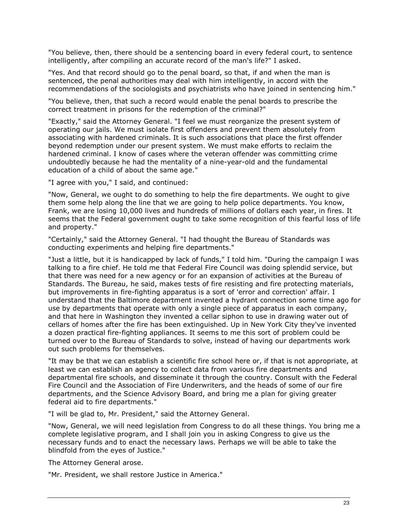"You believe, then, there should be a sentencing board in every federal court, to sentence intelligently, after compiling an accurate record of the man's life?" I asked.

"Yes. And that record should go to the penal board, so that, if and when the man is sentenced, the penal authorities may deal with him intelligently, in accord with the recommendations of the sociologists and psychiatrists who have joined in sentencing him."

"You believe, then, that such a record would enable the penal boards to prescribe the correct treatment in prisons for the redemption of the criminal?"

"Exactly," said the Attorney General. "I feel we must reorganize the present system of operating our jails. We must isolate first offenders and prevent them absolutely from associating with hardened criminals. It is such associations that place the first offender beyond redemption under our present system. We must make efforts to reclaim the hardened criminal. I know of cases where the veteran offender was committing crime undoubtedly because he had the mentality of a nine-year-old and the fundamental education of a child of about the same age."

"I agree with you," I said, and continued:

"Now, General, we ought to do something to help the fire departments. We ought to give them some help along the line that we are going to help police departments. You know, Frank, we are losing 10,000 lives and hundreds of millions of dollars each year, in fires. It seems that the Federal government ought to take some recognition of this fearful loss of life and property."

"Certainly," said the Attorney General. "I had thought the Bureau of Standards was conducting experiments and helping fire departments."

"Just a little, but it is handicapped by lack of funds," I told him. "During the campaign I was talking to a fire chief. He told me that Federal Fire Council was doing splendid service, but that there was need for a new agency or for an expansion of activities at the Bureau of Standards. The Bureau, he said, makes tests of fire resisting and fire protecting materials, but improvements in fire-fighting apparatus is a sort of 'error and correction' affair. I understand that the Baltimore department invented a hydrant connection some time ago for use by departments that operate with only a single piece of apparatus in each company, and that here in Washington they invented a cellar siphon to use in drawing water out of cellars of homes after the fire has been extinguished. Up in New York City they've invented a dozen practical fire-fighting appliances. It seems to me this sort of problem could be turned over to the Bureau of Standards to solve, instead of having our departments work out such problems for themselves.

"It may be that we can establish a scientific fire school here or, if that is not appropriate, at least we can establish an agency to collect data from various fire departments and departmental fire schools, and disseminate it through the country. Consult with the Federal Fire Council and the Association of Fire Underwriters, and the heads of some of our fire departments, and the Science Advisory Board, and bring me a plan for giving greater federal aid to fire departments."

"I will be glad to, Mr. President," said the Attorney General.

"Now, General, we will need legislation from Congress to do all these things. You bring me a complete legislative program, and I shall join you in asking Congress to give us the necessary funds and to enact the necessary laws. Perhaps we will be able to take the blindfold from the eyes of Justice."

The Attorney General arose.

"Mr. President, we shall restore Justice in America."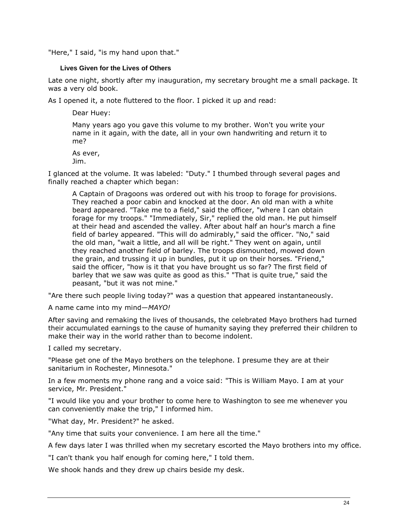"Here," I said, "is my hand upon that."

### **Lives Given forthe Lives of Others**

Late one night, shortly after my inauguration, my secretary brought me a small package. It was a very old book.

As I opened it, a note fluttered to the floor. I picked it up and read:

Dear Huey:

Many years ago you gave this volume to my brother. Won't you write your name in it again, with the date, all in your own handwriting and return it to me?

As ever, Jim.

I glanced at the volume. It was labeled: "Duty." I thumbed through several pages and finally reached a chapter which began:

A Captain of Dragoons was ordered out with his troop to forage for provisions. They reached a poor cabin and knocked at the door. An old man with a white beard appeared. "Take me to a field," said the officer, "where I can obtain forage for my troops." "Immediately, Sir," replied the old man. He put himself at their head and ascended the valley. After about half an hour's march a fine field of barley appeared. "This will do admirably," said the officer. "No," said the old man, "wait a little, and all will be right." They went on again, until they reached another field of barley. The troops dismounted, mowed down the grain, and trussing it up in bundles, put it up on their horses. "Friend," said the officer, "how is it that you have brought us so far? The first field of barley that we saw was quite as good as this." "That is quite true," said the peasant, "but it was not mine."

"Are there such people living today?" was a question that appeared instantaneously.

A name came into my mind-MAYO!

After saving and remaking the lives of thousands, the celebrated Mayo brothers had turned their accumulated earnings to the cause of humanity saying they preferred their children to make their way in the world rather than to become indolent.

I called my secretary.

"Please get one of the Mayo brothers on the telephone. I presume they are at their sanitarium in Rochester, Minnesota."

In a few moments my phone rang and a voice said: "This is William Mayo. I am at your service, Mr. President."

"I would like you and your brother to come here to Washington to see me whenever you can conveniently make the trip," I informed him.

"What day, Mr. President?" he asked.

"Any time that suits your convenience. I am here all the time."

A few days later I was thrilled when my secretary escorted the Mayo brothers into my office.

"I can't thank you half enough for coming here," I told them.

We shook hands and they drew up chairs beside my desk.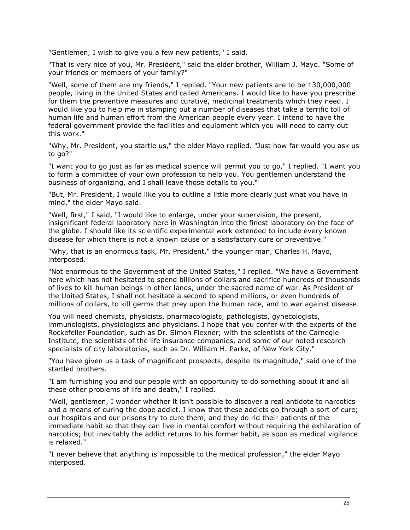"Gentlemen, I wish to give you a few new patients," I said.

"That is very nice of you, Mr. President," said the elder brother, William J. Mayo. "Some of your friends or members of your family?"

"Well, some of them are my friends," I replied. "Your new patients are to be 130,000,000 people, living in the United States and called Americans. I would like to have you prescribe for them the preventive measures and curative, medicinal treatments which they need. I would like you to help me in stamping out a number of diseases that take a terrific toll of human life and human effort from the American people every year. I intend to have the federal government provide the facilities and equipment which you will need to carry out this work."

"Why, Mr. President, you startle us," the elder Mayo replied. "Just how far would you ask us to go?"

"I want you to go just as far as medical science will permit you to go," I replied. "I want you to form a committee of your own profession to help you. You gentlemen understand the business of organizing, and I shall leave those details to you."

"But, Mr. President, I would like you to outline a little more clearly just what you have in mind," the elder Mayo said.

"Well, first," I said, "I would like to enlarge, under your supervision, the present, insignificant federal laboratory here in Washington into the finest laboratory on the face of the globe. I should like its scientific experimental work extended to include every known disease for which there is not a known cause or a satisfactory cure or preventive."

"Why, that is an enormous task, Mr. President," the younger man, Charles H. Mayo, interposed.

"Not enormous to the Government of the United States," I replied. "We have a Government here which has not hesitated to spend billions of dollars and sacrifice hundreds of thousands of lives to kill human beings in other lands, under the sacred name of war. As President of the United States, I shall not hesitate a second to spend millions, or even hundreds of millions of dollars, to kill germs that prey upon the human race, and to war against disease.

You will need chemists, physicists, pharmacologists, pathologists, gynecologists, immunologists, physiologists and physicians. I hope that you confer with the experts of the Rockefeller Foundation, such as Dr. Simon Flexner; with the scientists of the Carnegie Institute, the scientists of the life insurance companies, and some of our noted research specialists of city laboratories, such as Dr. William H. Parke, of New York City."

"You have given us a task of magnificent prospects, despite its magnitude," said one of the startled brothers.

"I am furnishing you and our people with an opportunity to do something about it and all these other problems of life and death," I replied.

"Well, gentlemen, I wonder whether it isn't possible to discover a real antidote to narcotics and a means of curing the dope addict. I know that these addicts go through a sort of cure; our hospitals and our prisons try to cure them, and they do rid their patients of the immediate habit so that they can live in mental comfort without requiring the exhilaration of narcotics; but inevitably the addict returns to his former habit, as soon as medical vigilance is relaxed."

"I never believe that anything is impossible to the medical profession," the elder Mayo interposed.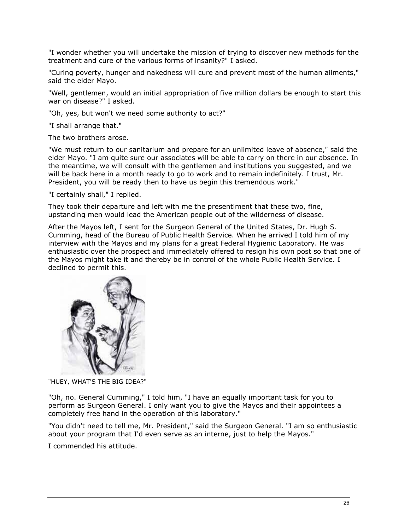"I wonder whether you will undertake the mission of trying to discover new methods for the treatment and cure of the various forms of insanity?" I asked.

"Curing poverty, hunger and nakedness will cure and prevent most of the human ailments," said the elder Mayo.

"Well, gentlemen, would an initial appropriation of five million dollars be enough to start this war on disease?" I asked.

"Oh, yes, but won't we need some authority to act?"

"I shall arrange that."

The two brothers arose.

"We must return to our sanitarium and prepare for an unlimited leave of absence," said the elder Mayo. "I am quite sure our associates will be able to carry on there in our absence. In the meantime, we will consult with the gentlemen and institutions you suggested, and we will be back here in a month ready to go to work and to remain indefinitely. I trust, Mr. President, you will be ready then to have us begin this tremendous work."

"I certainly shall," I replied.

They took their departure and left with me the presentiment that these two, fine, upstanding men would lead the American people out of the wilderness of disease.

After the Mayos left, I sent for the Surgeon General of the United States, Dr. Hugh S. Cumming, head of the Bureau of Public Health Service. When he arrived I told him of my interview with the Mayos and my plans for a great Federal Hygienic Laboratory. He was enthusiastic over the prospect and immediately offered to resign his own post so that one of the Mayos might take it and thereby be in control of the whole Public Health Service. I declined to permit this.



"HUEY, WHAT'S THE BIG IDEA?"

"Oh, no. General Cumming," I told him, "I have an equally important task for you to perform as Surgeon General. I only want you to give the Mayos and their appointees a completely free hand in the operation of this laboratory."

"You didn't need to tell me, Mr. President," said the Surgeon General. "I am so enthusiastic about your program that I'd even serve as an interne, just to help the Mayos."

I commended his attitude.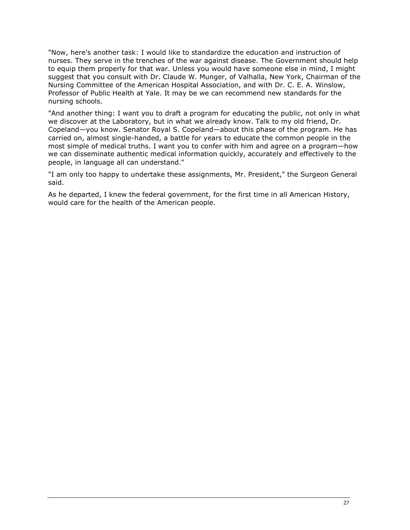"Now, here's another task: I would like to standardize the education and instruction of nurses. They serve in the trenches of the war against disease. The Government should help to equip them properly for that war. Unless you would have someone else in mind, I might suggest that you consult with Dr. Claude W.Munger, of Valhalla, New York, Chairman of the Nursing Committee of the American Hospital Association, and with Dr.C. E. A. Winslow, Professor of Public Health at Yale. It may be we can recommend new standards for the nursing schools.

"And another thing: I want you to draft a program for educating the public, not only in what we discover at the Laboratory, but in what we already know. Talk to my old friend, Dr. Copeland–you know. Senator Royal S. Copeland–about this phase of the program. He has carried on, almost single-handed, a battle for years to educate the common people in the most simple of medical truths. I want you to confer with him and agree on a program-how we can disseminate authentic medical information quickly, accurately and effectively to the people, in language all can understand."

"I am only too happy to undertake these assignments, Mr. President," the Surgeon General said.

As he departed, I knew the federal government, for the first time in all American History, would care for the health of the American people.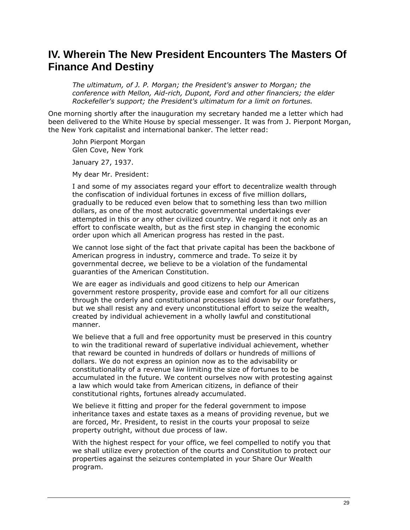### <span id="page-30-0"></span>**IV. Wherein The New President Encounters The Masters Of Finance And Destiny**

*The ultimatum, of J. P. Morgan; the President's answer to Morgan; the conference with Mellon, Aid-rich, Dupont, Ford and other financiers; the elder Rockefeller's support; the President's ultimatum for alimit on fortunes.*

One morning shortly after the inauguration my secretary handed me a letter which had been delivered to the White House by special messenger. It was from J. Pierpont Morgan, the New York capitalist and international banker. The letter read:

John Pierpont Morgan Glen Cove, New York

January 27, 1937.

My dear Mr. President:

I and some of my associates regard your effort to decentralize wealth through the confiscation of individual fortunes in excess of five million dollars, gradually to be reduced even below that to something less than two million dollars, as one of the most autocratic governmental undertakings ever attempted in this or any other civilized country. We regard it not only as an effort to confiscate wealth, but as the first step in changing the economic order upon which all American progress has rested in the past.

We cannot lose sight of the fact that private capital has been the backbone of American progress in industry, commerce and trade. To seize it by governmental decree, we believe to be a violation of the fundamental guaranties of the American Constitution.

We are eager as individuals and good citizens to help our American government restore prosperity, provide ease and comfort for all our citizens through the orderly and constitutional processes laid down by our forefathers, but we shall resist any and every unconstitutional effort to seize the wealth, created by individual achievement in a wholly lawful and constitutional manner.

We believe that a full and free opportunity must be preserved in this country to win the traditional reward of superlative individual achievement, whether that reward be counted in hundreds of dollars or hundreds of millions of dollars. We do not express an opinion now as to the advisability or constitutionality of a revenue law limiting the size of fortunes to be accumulated in the future. We content ourselves now with protesting against a law which would take from American citizens, in defiance of their constitutional rights, fortunes already accumulated.

We believe it fitting and proper for the federal government to impose inheritance taxes and estate taxes as a means of providing revenue, but we are forced, Mr. President, to resist in the courts your proposal to seize property outright, without due process of law.

With the highest respect for your office, we feel compelled to notify you that we shall utilize every protection of the courts and Constitution to protect our properties against the seizures contemplated in your Share Our Wealth program.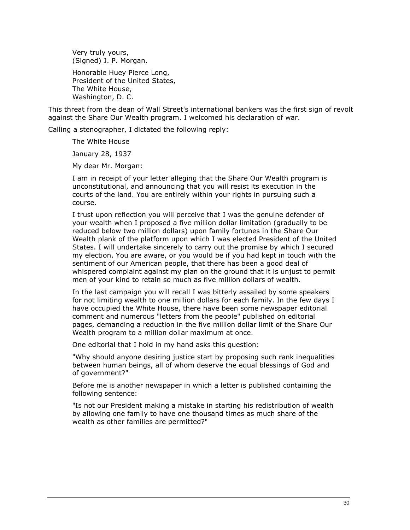Very truly yours, (Signed) J. P. Morgan.

Honorable Huey Pierce Long, President of the United States, The White House, Washington, D. C.

This threat from the dean of Wall Street's international bankers was the first sign of revolt against the Share Our Wealth program. I welcomed his declaration of war.

Calling a stenographer, I dictated the following reply:

The White House

January 28, 1937

My dear Mr. Morgan:

I am in receipt of your letter alleging that the Share Our Wealth program is unconstitutional, and announcing that you will resist its execution in the courts of the land. You are entirely within your rights in pursuing such a course.

I trust upon reflection you will perceive that I was the genuine defender of your wealth when I proposed a five million dollar limitation (gradually to be reduced below two million dollars) upon family fortunes in the Share Our Wealth plank of the platform upon which I was elected President of the United States. I will undertake sincerely to carry out the promise by which I secured my election. You are aware, or you would be if you had kept in touch with the sentiment of our American people, that there has been a good deal of whispered complaint against my plan on the ground that it is unjust to permit men of your kind to retain so much as five million dollars of wealth.

In the last campaign you will recall I was bitterly assailed by some speakers for not limiting wealth to one million dollars for each family. In the few days I have occupied the White House, there have been some newspaper editorial comment and numerous "letters from the people" published on editorial pages, demanding a reduction in the five million dollar limit of the Share Our Wealth program to a million dollar maximum at once.<br>One editorial that I hold in my hand asks this question:

"Why should anyone desiring justice start by proposing such rank inequalities between human beings, all of whom deserve the equal blessings of God and of government?"

Before me is another newspaper in which a letter is published containing the following sentence:

"Is not our President making a mistake in starting his redistribution of wealth by allowing one family to have one thousand times as much share of the wealth as other families are permitted?"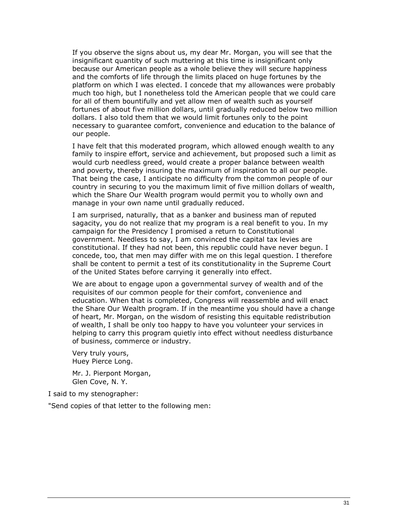If you observe the signs about us, my dear Mr. Morgan, you will see that the insignificant quantity of such muttering at this time is insignificant only because our American people as a whole believe they will secure happiness and the comforts of life through the limits placed on huge fortunes by the platform on which I was elected. I concede that my allowances were probably much too high, but I nonetheless told the American people that we could care for all of them bountifully and yet allow men of wealth such as yourself fortunes of about five million dollars, until gradually reduced below two million dollars. I also told them that we would limit fortunes only to the point necessary to guarantee comfort, convenience and education to the balance of our people.

I have felt that this moderated program, which allowed enough wealth to any family to inspire effort, service and achievement, but proposed such a limit as would curb needless greed, would create a proper balance between wealth and poverty, thereby insuring the maximum of inspiration to all our people. That being the case, I anticipate no difficulty from the common people of our country in securing to you the maximum limit of five million dollars of wealth, which the Share Our Wealth program would permit you to wholly own and manage in your own name until gradually reduced.

I am surprised, naturally, that as a banker and business man of reputed sagacity, you do not realize that my program is a real benefit to you. In my campaign for the Presidency I promised a return to Constitutional government. Needless to say, I am convinced the capital tax levies are constitutional. If they had not been, this republic could have never begun. I concede, too, that men may differ with me on this legal question. I therefore shall be content to permit a test of its constitutionality in the Supreme Court of the United States before carrying it generally into effect.

We are about to engage upon a governmental survey of wealth and of the requisites of our common people for their comfort, convenience and education. When that is completed, Congress will reassemble and will enact the Share Our Wealth program. If in the meantime you should have a change of heart, Mr. Morgan, on the wisdom of resisting this equitable redistribution of wealth, I shall be only too happy to have you volunteer your services in helping to carry this program quietly into effect without needless disturbance of business, commerce or industry.

Very truly yours, Huey Pierce Long.

Mr. J. Pierpont Morgan, Glen Cove, N. Y.

I said to my stenographer:

"Send copies of that letter to the following men: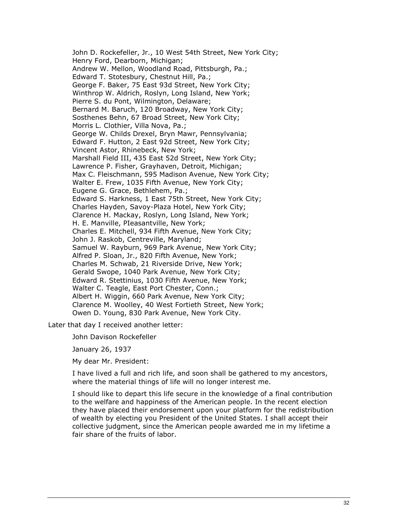John D. Rockefeller, Jr., 10 West 54th Street, New York City; Henry Ford, Dearborn, Michigan; Andrew W. Mellon, Woodland Road, Pittsburgh, Pa.; Edward T. Stotesbury, Chestnut Hill, Pa.; George F. Baker, 75 East 93d Street, New York City; Winthrop W. Aldrich, Roslyn, Long Island, New York; Pierre S. du Pont, Wilmington, Delaware; Bernard M. Baruch, 120 Broadway, New York City; Sosthenes Behn, 67 Broad Street, New York City; Morris L. Clothier, Villa Nova, Pa.; George W.Childs Drexel, Bryn Mawr, Pennsylvania; Edward F. Hutton, 2 East 92d Street, New York City; Vincent Astor, Rhinebeck, New York; Marshall Field III, 435 East 52d Street, New York City; Lawrence P. Fisher, Grayhaven, Detroit, Michigan; Max C. Fleischmann, 595 Madison Avenue, New York City; Walter E. Frew, 1035 Fifth Avenue, New York City; Eugene G. Grace, Bethlehem, Pa.; Edward S. Harkness, 1 East 75th Street, New York City; Charles Hayden, Savoy-Plaza Hotel, New York City; Clarence H. Mackay, Roslyn, Long Island, New York; H. E. Manville, PIeasantville, New York; Charles E. Mitchell, 934 Fifth Avenue, New York City; John J. Raskob, Centreville, Maryland; Samuel W. Rayburn, 969 Park Avenue, New York City; Alfred P. Sloan, Jr., 820 Fifth Avenue, New York; Charles M. Schwab, 21 Riverside Drive, New York; Gerald Swope, 1040 Park Avenue, New York City; Edward R. Stettinius, 1030 Fifth Avenue, New York; Walter C. Teagle, East Port Chester, Conn.; Albert H. Wiggin, 660 Park Avenue, New York City; Clarence M. Woolley, 40 West Fortieth Street, New York; Owen D. Young, 830 Park Avenue, New York City.

Later that day I received another letter:

John Davison Rockefeller

January 26, 1937

My dear Mr. President:

I have lived a full and rich life, and soon shall be gathered to my ancestors, where the material things of life will no longer interest me.

I should like to depart this life secure in the knowledge of a final contribution to the welfare and happiness of the American people. In the recent election they have placed their endorsement upon your platform for the redistribution of wealth by electing you President of the United States. I shall accept their collective judgment, since the American people awarded me in my lifetime a fair share of the fruits of labor.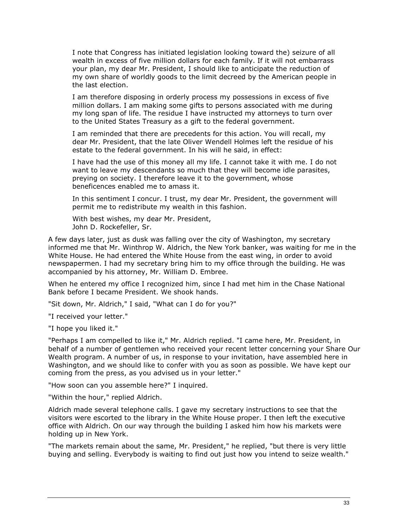I note that Congress has initiated legislation looking toward the) seizure of all wealth in excess of five million dollars for each family. If it will not embarrass your plan, my dear Mr. President, I should like to anticipate the reduction of my own share of worldly goods to the limit decreed by the American people in the last election.

I am therefore disposing in orderly process my possessions in excess of five million dollars. I am making some gifts to persons associated with me during my long span of life. The residue I have instructed my attorneys to turn over to the United States Treasury as a gift to the federal government.

I am reminded that there are precedents for this action. You will recall, my dear Mr. President, that the late Oliver Wendell Holmes left the residue of his estate to the federal government. In his will he said, in effect:

I have had the use of this money all my life. I cannot take it with me. I do not want to leave my descendants so much that they will become idle parasites, preying on society. I therefore leave it to the government, whose beneficences enabled me to amass it.

In this sentiment I concur. I trust, my dear Mr. President, the government will permit me to redistribute my wealth in this fashion.

With best wishes, my dear Mr. President, John D. Rockefeller, Sr.

A few days later, just as dusk was falling over the city of Washington, my secretary informed me that Mr. Winthrop W. Aldrich, the New York banker, was waiting for me in the White House. He had entered the White House from the east wing, in order to avoid newspapermen. I had my secretary bring him to my office through the building. He was accompanied by his attorney, Mr. William D. Embree.

When he entered my office I recognized him, since I had met him in the Chase National Bank before I became President. We shook hands.

"Sit down, Mr. Aldrich," I said, "What can I do for you?"

"I received your letter."

"I hope you liked it."

"Perhaps Iam compelled to like it," Mr. Aldrich replied. "I came here, Mr. President, in behalf of a number of gentlemen who received your recent letter concerning your Share Our Wealth program. A number of us, in response to your invitation, have assembled here in Washington, and we should like to confer with you as soon as possible. We have kept our coming from the press, as you advised us in your letter."

"How soon can you assemble here?" I inquired.

"Within the hour," replied Aldrich.

Aldrich made several telephone calls. I gave my secretary instructions to see that the visitors were escorted to the library in the White House proper. I then left the executive office with Aldrich. On our way through the building I asked him how his markets were holding up in New York.

"The markets remain about the same, Mr. President," he replied, "but there is very little buying and selling. Everybody is waiting to find out just how you intend to seize wealth."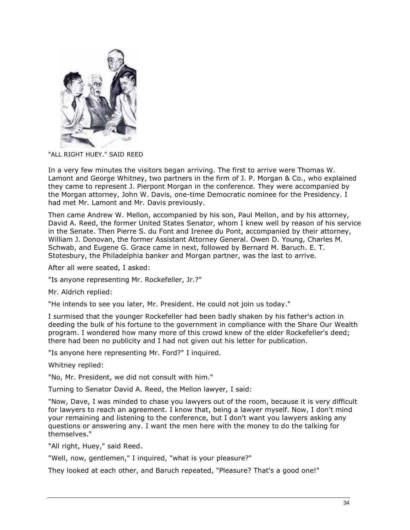

"ALL RIGHT HUEY." SAID REED

In a very few minutes the visitors began arriving. The first to arrive were Thomas W. Lamont and George Whitney, two partners in the firm of J. P. Morgan & Co., who explained they came to represent J. Pierpont Morgan in the conference. They were accompanied by the Morgan attorney, John W. Davis, one-time Democratic nominee for the Presidency. I had met Mr. Lamont and Mr. Davis previously.

Then came Andrew W. Mellon, accompanied by his son, Paul Mellon, and by his attorney, David A. Reed, the former United States Senator, whom I knew well by reason of his service in the Senate. Then Pierre S. du Font and Irenee du Pont, accompanied by their attorney, William J. Donovan, the former Assistant Attorney General. Owen D. Young, Charles M. Schwab, and Eugene G. Grace came in next, followed by Bernard M. Baruch. E. T. Stotesbury, the Philadelphia banker and Morgan partner, was the last to arrive.

After all were seated, I asked:

"Is anyone representing Mr. Rockefeller, Jr.?"

Mr. Aldrich replied:

"He intends to see you later, Mr. President. He could not join us today."

I surmised that the younger Rockefeller had been badly shaken by his father's action in deeding the bulk of his fortune to the government in compliance with the Share Our Wealth program. I wondered how many more of this crowd knew of the elder Rockefeller's deed; there had been no publicity and I had not given out his letter for publication.

"Is anyone here representing Mr. Ford?" I inquired.

Whitney replied:

"No, Mr. President, we did not consult with him."

Turning to Senator David A. Reed, the Mellon lawyer, I said:

"Now, Dave, I was minded to chase you lawyers out of the room, because it is very difficult for lawyers to reach an agreement. I know that, being a lawyer myself. Now, I don't mind your remaining and listening to the conference, but I don't want you lawyers asking any questions or answering any. I want the men here with the money to do the talking for themselves."

"All right, Huey," said Reed.

"Well, now, gentlemen," I inquired, "what is your pleasure?"

They looked at each other, and Baruch repeated, "Pleasure? That's a good one!"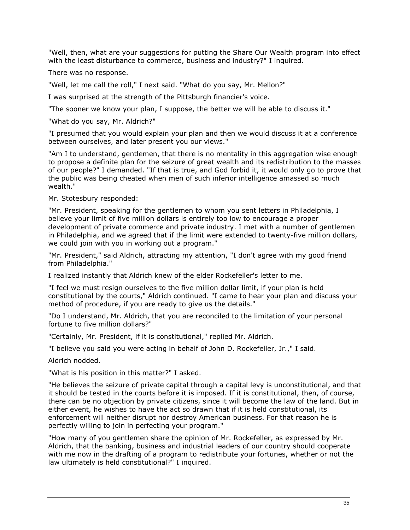"Well, then, what are your suggestions for putting the Share Our Wealth program into effect with the least disturbance to commerce, business and industry?" I inquired.

There was no response.

"Well, let me call the roll," I next said. "What do you say, Mr. Mellon?"

I was surprised at the strength of the Pittsburgh financier's voice.

"The sooner we know your plan, I suppose, the better we will be able to discuss it."

"What do you say, Mr. Aldrich?"

"I presumed that you would explain your plan and then we would discuss it at a conference between ourselves, and later present you our views."

"Am I to understand, gentlemen, that there is no mentality in this aggregation wise enough to propose a definite plan for the seizure of great wealth and its redistribution to the masses of our people?" I demanded. "If that is true, and God forbid it, it would only go to prove that the public was being cheated when men of such inferior intelligence amassed so much wealth."

#### Mr. Stotesbury responded:

"Mr. President, speaking for the gentlemen to whom you sent letters in Philadelphia, I believe your limit of five million dollars is entirely too low to encourage a proper development of private commerce and private industry. I met with a number of gentlemen in Philadelphia, and we agreed that if the limit were extended to twenty-five million dollars, we could join with you in working out a program."

"Mr. President," said Aldrich, attracting my attention, "I don't agree with my good friend from Philadelphia."

I realized instantly that Aldrich knew of the elder Rockefeller's letter to me.

"I feel we must resign ourselves to the five million dollar limit, if your plan is held constitutional by the courts," Aldrich continued. "I came to hear your plan and discuss your method of procedure, if you are ready to give us the details."

"Do I understand, Mr. Aldrich, that you are reconciled to the limitation of your personal fortune to five million dollars?"

"Certainly, Mr. President, if it is constitutional," replied Mr. Aldrich.

"I believe you said you were acting in behalf of John D. Rockefeller, Jr.," I said.

Aldrich nodded.

"What is his position in this matter?" I asked.

"He believes the seizure of private capital through a capital levy is unconstitutional, and that it should be tested in the courts before it is imposed. If it is constitutional, then, of course, there can be no objection by private citizens, since it will become the law of the land. But in either event, he wishes to have the act so drawn that if it is held constitutional, its enforcement will neither disrupt nor destroy American business. For that reason he is perfectly willing to join in perfecting your program."

"How many of you gentlemen share the opinion of Mr. Rockefeller, as expressed by Mr. Aldrich, that the banking, business and industrial leaders of our country should cooperate with me now in the drafting of a program to redistribute your fortunes, whether or not the law ultimately is held constitutional?" I inquired.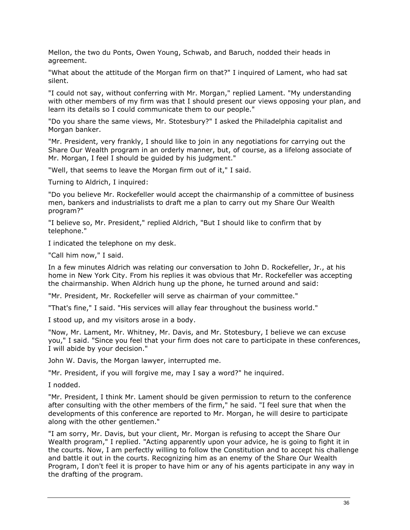Mellon, the two du Ponts, Owen Young, Schwab, and Baruch, nodded their heads in agreement.

"What about the attitude of the Morgan firm on that?" I inquired of Lament, who had sat silent.

"I could not say, without conferring with Mr. Morgan," replied Lament. "My understanding with other members of my firm was that I should present our views opposing your plan, and learn its details so I could communicate them to our people."

"Do you share the same views, Mr. Stotesbury?" I asked the Philadelphia capitalist and Morgan banker.

"Mr. President, very frankly, I should like to join in any negotiations for carrying out the Share Our Wealth program in an orderly manner, but, of course, as a lifelong associate of Mr. Morgan, I feel I should be guided by his judgment."

"Well, that seems to leave the Morgan firm out of it," I said.

Turning to Aldrich, I inquired:

"Do you believe Mr. Rockefeller would accept the chairmanship of a committee of business men, bankers and industrialists to draft me a plan to carry out my Share Our Wealth program?"

"I believe so, Mr. President," replied Aldrich, "But I should like to confirm that by telephone."

I indicated the telephone on my desk.

"Call him now," I said.

In a few minutes Aldrich was relating our conversation to John D. Rockefeller, Jr., at his home in New York City. From his replies it was obvious that Mr. Rockefeller was accepting the chairmanship. When Aldrich hung up the phone, he turned around and said:

"Mr. President, Mr. Rockefeller will serve as chairman of your committee."

"That's fine," I said. "His services will allay fear throughout the business world."

I stood up, and my visitors arose in a body.

"Now, Mr. Lament, Mr. Whitney, Mr. Davis, and Mr.Stotesbury, I believe we can excuse you," I said. "Since you feel that your firm does not care to participate in these conferences, I will abide by your decision."

John W. Davis, the Morgan lawyer, interrupted me.

"Mr. President, if you will forgive me, may I say a word?" he inquired.

I nodded.

"Mr. President, I think Mr. Lament should be given permission to return to the conference after consulting with the other members of the firm," he said. "I feel sure that when the developments of this conference are reported to Mr. Morgan, he will desire to participate along with the other gentlemen."

"I am sorry, Mr. Davis, but your client, Mr. Morgan is refusing to accept the Share Our Wealth program," I replied. "Acting apparently upon your advice, he is going to fight it in the courts. Now, I am perfectly willing to follow the Constitution and to accept his challenge and battle it out in the courts. Recognizing him as an enemy of the Share Our Wealth Program, I don't feel it is proper to have him or any of his agents participate in any way in the drafting of the program.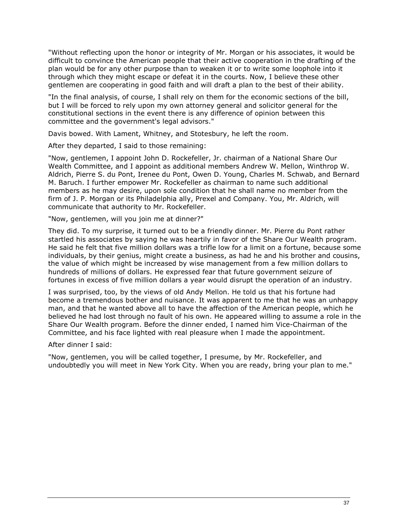"Without reflecting upon the honor or integrity of Mr. Morgan or his associates, it would be difficult to convince the American people that their active cooperation in the drafting of the plan would be for any other purpose than to weaken it or to write some loophole into it through which they might escape or defeat it in the courts. Now, I believe these other gentlemen are cooperating in good faith and will draft a plan to the best of their ability.

"In the final analysis, of course, I shall rely on them for the economic sections of the bill, but I will be forced to rely upon my own attorney general and solicitor general for the constitutional sections in the event there is any difference of opinion between this committee and the government's legal advisors."

Davis bowed. With Lament, Whitney, and Stotesbury, he left the room.

After they departed, I said to those remaining:

"Now, gentlemen, I appoint John D. Rockefeller, Jr. chairman of a National Share Our Wealth Committee, and I appoint as additional members Andrew W. Mellon, Winthrop W. Aldrich, Pierre S. du Pont, Irenee du Pont, Owen D. Young, Charles M. Schwab, and Bernard M. Baruch. I further empower Mr. Rockefeller as chairman to name such additional members as he may desire, upon sole condition that he shall name no member from the firm of J. P. Morgan or its Philadelphia ally, Prexel and Company. You, Mr. Aldrich, will communicate that authority to Mr. Rockefeller.

"Now, gentlemen, will you join me at dinner?"

They did. To my surprise, it turned out to be a friendly dinner. Mr. Pierre du Pont rather startled his associates by saying he was heartily in favor of the Share Our Wealth program. He said he felt that five million dollars was a trifle low for a limit on a fortune, because some individuals, by their genius, might create a business, as had he and his brother and cousins, the value of which might be increased by wise management from a few million dollars to hundreds of millions of dollars. He expressed fear that future government seizure of fortunes in excess of five million dollars a year would disrupt the operation of an industry.

I was surprised, too, by the views of old Andy Mellon. He told us that his fortune had become a tremendous bother and nuisance. It was apparent to me that he was an unhappy man, and that he wanted above all to have the affection of the American people, which he believed he had lost through no fault of his own. He appeared willing to assume a role in the Share Our Wealth program. Before the dinner ended, I named him Vice-Chairman of the Committee, and his face lighted with real pleasure when I made the appointment.

### After dinner I said:

"Now, gentlemen, you will be called together, I presume, by Mr. Rockefeller, and undoubtedly you will meet in New York City. When you are ready, bring your plan to me."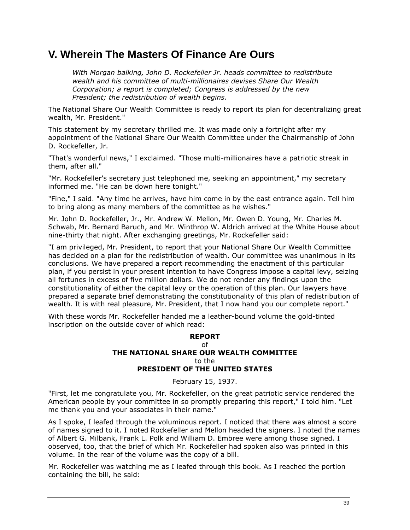### <span id="page-40-0"></span>**V. Wherein The Masters Of Finance Are Ours**

*With Morgan balking, John D. Rockefeller Jr. heads committee to redistribute wealth and his committee of multi-millionaires devises Share Our Wealth Corporation; a report is completed; Congress is addressed by the new President; the redistribution of wealth begins.*

The National Share Our Wealth Committee is ready to report its plan for decentralizing great wealth, Mr. President."

This statement by my secretary thrilled me. It was made only a fortnight after my appointment of the National Share Our Wealth Committee under the Chairmanship of John D. Rockefeller, Jr.

"That's wonderful news," I exclaimed. "Those multi-millionaires have a patriotic streak in them, after all."

"Mr. Rockefeller's secretary just telephoned me, seeking an appointment," my secretary informed me. "He can be down here tonight."

"Fine," I said. "Any time he arrives, have him come in by the east entrance again. Tell him to bring along as many members of the committee as he wishes."

Mr. John D. Rockefeller, Jr., Mr. Andrew W. Mellon, Mr. Owen D. Young, Mr. Charles M. Schwab, Mr. Bernard Baruch, and Mr. Winthrop W. Aldrich arrived at the White House about nine-thirty that night. After exchanging greetings, Mr. Rockefeller said:

"I am privileged, Mr. President, to report that your National Share Our Wealth Committee has decided on a plan for the redistribution of wealth. Our committee was unanimous in its conclusions. We have prepared a report recommending the enactment of this particular plan, if you persist in your present intention to have Congress impose a capital levy, seizing all fortunes in excess of five million dollars. We do not render any findings upon the constitutionality of either the capital levy or the operation of this plan. Our lawyers have prepared a separate brief demonstrating the constitutionality of this plan of redistribution of wealth. It is with real pleasure, Mr. President, that I now hand you our complete report."

With these words Mr. Rockefeller handed me a leather-bound volume the gold-tinted inscription on the outside cover of which read:

### **REPORT** of **THE NATIONAL SHARE OUR WEALTH COMMITTEE** to the **PRESIDENT OF THE UNITED STATES**

### February 15, 1937.

"First, let me congratulate you, Mr. Rockefeller, on the great patriotic service rendered the American people by your committee in so promptly preparing this report," I told him. "Let me thank you and your associates in their name."

As I spoke, I leafed through the voluminous report. I noticed that there was almost a score of names signed to it. I noted Rockefeller and Mellon headed the signers. I noted the names of Albert G. Milbank, Frank L. Polk and William D. Embree were among those signed. I observed, too, that the brief of which Mr. Rockefeller had spoken also was printed in this volume. In the rear of the volume was the copy of a bill.

Mr. Rockefeller was watching me as I leafed through this book. As Ireached the portion containing the bill, he said: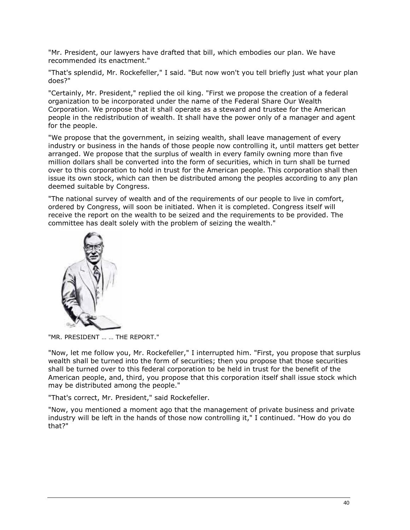"Mr. President, our lawyers have drafted that bill, which embodies our plan. We have recommended its enactment."

"That's splendid, Mr. Rockefeller," I said. "But now won't you tell briefly just what your plan does?"

"Certainly, Mr. President," replied the oil king. "First we propose the creation of a federal organization to be incorporated under the name of the Federal Share Our Wealth Corporation. We propose that it shall operate as a steward and trustee for the American people in the redistribution of wealth. It shall have the power only of a manager and agent for the people.

"We propose that the government, in seizing wealth, shall leave management of every industry or business in the hands of those people now controlling it, until matters get better arranged. We propose that the surplus of wealth in every family owning more than five million dollars shall be converted into the form of securities, which in turn shall be turned over to this corporation to hold in trust for the American people. This corporation shall then issue its own stock, which can then be distributed among the peoples according to any plan deemed suitable by Congress.

"The national survey of wealth and of the requirements of our people to live in comfort, ordered by Congress, will soon be initiated. When it is completed. Congress itself will receive the report on the wealth to be seized and the requirements to be provided. The committee has dealt solely with the problem of seizing the wealth."



"MR. PRESIDENT ... ... THE REPORT."

"Now, let me follow you, Mr. Rockefeller," I interrupted him. "First, you propose that surplus wealth shall be turned into the form of securities; then you propose that those securities shall be turned over to this federal corporation to be held in trust for the benefit of the American people, and, third, you propose that this corporation itself shall issue stock which may be distributed among the people."

"That's correct, Mr. President," said Rockefeller.

"Now, you mentioned a moment ago that the management of private business and private industry will be left in the hands of those now controlling it," I continued. "How do you do that?"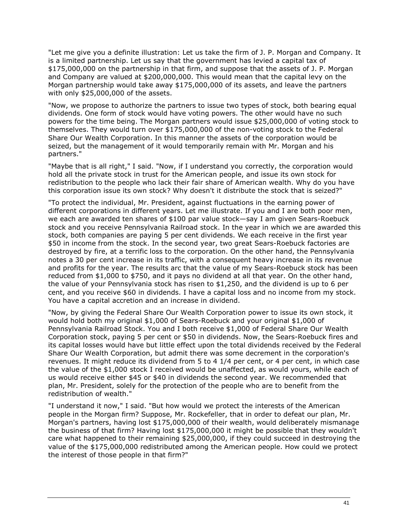"Let me give you a definite illustration: Let us take the firm of J. P. Morgan and Company. It is a limited partnership. Let us say that the government has levied a capital tax of \$175,000,000 on the partnership in that firm, and suppose that the assets ofJ. P. Morgan and Company are valued at \$200,000,000. This would mean that the capital levy on the Morgan partnership would take away \$175,000,000 of its assets, and leave the partners with only \$25,000,000 of the assets.

"Now, we propose to authorize the partners to issue two types of stock, both bearing equal dividends. One form of stock would have voting powers. The other would have no such powers for the time being. The Morgan partners would issue \$25,000,000 of voting stock to themselves. They would turn over \$175,000,000 of the non-voting stock to the Federal Share Our Wealth Corporation. In this manner the assets of the corporation would be seized, but the management of it would temporarily remain with Mr. Morgan and his partners."

"Maybe that is all right," I said. "Now, if I understand you correctly, the corporation would hold all the private stock in trust for the American people, and issue its own stock for redistribution to the people who lack their fair share of American wealth. Why do you have this corporation issue its own stock? Why doesn't it distribute the stock that is seized?"

"To protect the individual, Mr. President, against fluctuations in the earning power of different corporations in different years. Let me illustrate. If you and I are both poor men, we each are awarded ten shares of \$100 par value stock-say I am given Sears-Roebuck stock and you receive Pennsylvania Railroad stock. In the year in which we are awarded this stock, both companies are paying 5 per cent dividends. We each receive in the first year \$50 in income from the stock. In the second year, two great Sears-Roebuck factories are destroyed by fire, at a terrific loss to the corporation. On the other hand, the Pennsylvania notes a 30 per cent increase in its traffic, with a consequent heavy increase in its revenue and profits for the year. The results arc that the value of my Sears-Roebuck stock has been reduced from \$1,000 to \$750, and it pays no dividend at all that year. On the other hand, the value of your Pennsylvania stock has risen to \$1,250, and the dividend is up to 6 per cent, and you receive \$60 in dividends. I have a capital loss and no income from my stock. You have a capital accretion and an increase in dividend.

"Now, by giving the Federal Share Our Wealth Corporation power to issue its own stock, it would hold both my original \$1,000 of Sears-Roebuck and your original \$1,000 of Pennsylvania Railroad Stock. You and I both receive \$1,000 of Federal Share Our Wealth Corporation stock, paying 5 per cent or \$50 in dividends. Now, the Sears-Roebuck fires and its capital losses would have but little effect upon the total dividends received by the Federal Share Our Wealth Corporation, but admit there was some decrement in the corporation's revenues. It might reduce its dividend from 5 to 4 1/4 per cent, or 4 per cent, in which case the value of the \$1,000 stock I received would be unaffected, as would yours, while each of us would receive either \$45 or \$40 in dividends the second year. We recommended that plan, Mr. President, solely for the protection of the people who are to benefit from the redistribution of wealth."

"I understand it now," I said. "But how would we protect the interests ofthe American people in the Morgan firm? Suppose, Mr. Rockefeller, that in order to defeat our plan, Mr. Morgan's partners, having lost \$175,000,000 of their wealth, would deliberately mismanage the business of that firm? Having lost \$175,000,000 it might be possible that they wouldn't care what happened to their remaining \$25,000,000, if they could succeed in destroying the value of the \$175,000,000 redistributed among the American people. How could we protect the interest of those people in that firm?"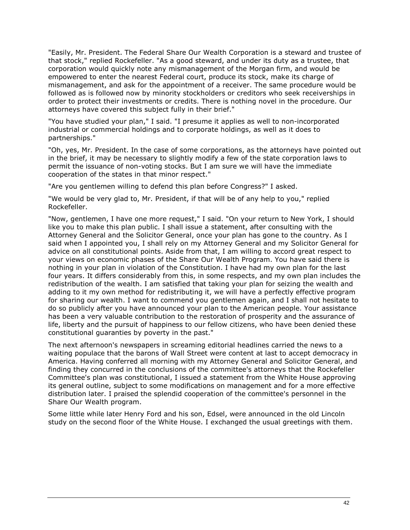"Easily, Mr. President. The Federal Share Our Wealth Corporation is a steward and trustee of that stock," replied Rockefeller. "As a good steward, and under its duty as a trustee, that corporation would quickly note any mismanagement of the Morgan firm, and would be empowered to enter the nearest Federal court, produce its stock, make its charge of mismanagement, and ask for the appointment of a receiver. The same procedure would be followed as is followed now by minority stockholders or creditors who seek receiverships in order to protect their investments or credits. There is nothing novel in the procedure. Our attorneys have covered this subject fully in their brief."

"You have studied your plan," I said. "I presume it applies as well to non-incorporated industrial or commercial holdings and to corporate holdings, as well as it does to partnerships."

"Oh, yes, Mr. President. In the case of some corporations, as the attorneys have pointed out in the brief, it may be necessary to slightly modify a few of the state corporation laws to permit the issuance of non-voting stocks. But I am sure we will have the immediate cooperation of the states in that minor respect."

"Are you gentlemen willing to defend this plan before Congress?" I asked.

"We would be very glad to, Mr. President, if that will be of any help to you," replied Rockefeller.

"Now, gentlemen, I have one more request," I said. "On your return to New York, I should like you to make this plan public. I shall issue a statement, after consulting with the Attorney General and the Solicitor General, once your plan has gone to the country. As I said when I appointed you, I shall rely on my Attorney General and my Solicitor General for advice on all constitutional points. Aside from that, I am willing to accord great respect to your views on economic phases of the Share Our Wealth Program. You have said there is nothing in your plan in violation of the Constitution. I have had my own plan for the last four years. It differs considerably from this, in some respects, and my own plan includes the redistribution of the wealth. I am satisfied that taking your plan for seizing the wealth and adding to it my own method for redistributing it, we will have a perfectly effective program for sharing our wealth. I want to commend you gentlemen again, and I shall not hesitate to do so publicly after you have announced your plan to the American people. Your assistance has been a very valuable contribution to the restoration of prosperity and the assurance of life, liberty and the pursuit of happiness to our fellow citizens, who have been denied these constitutional guaranties by poverty in the past."

The next afternoon's newspapers in screaming editorial headlines carried the news to a waiting populace that the barons of Wall Street were content at last to accept democracy in America. Having conferred all morning with my Attorney General and Solicitor General, and finding they concurred in the conclusions of the committee's attorneys that the Rockefeller Committee's plan was constitutional, I issued a statement from the White House approving its general outline, subject to some modifications on management and for a more effective distribution later. I praised the splendid cooperation of the committee's personnel in the Share Our Wealth program.

Some little while later Henry Ford and his son, Edsel, were announced in the old Lincoln study on the second floor of the White House. I exchanged the usual greetings with them.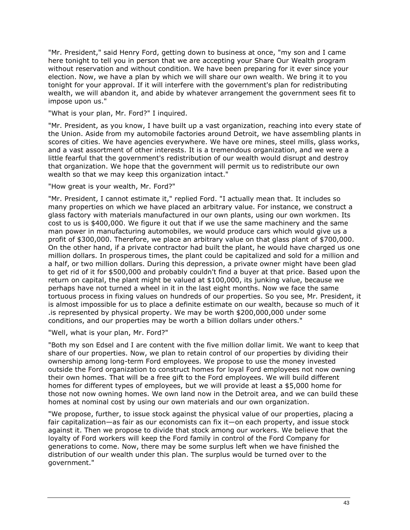"Mr. President," said Henry Ford, getting down to business at once, "my son and I came here tonight to tell you in person that we are accepting your Share Our Wealth program without reservation and without condition. We have been preparing for it ever since your election. Now, we have a plan by which we will share our own wealth. We bring it to you tonight for your approval. If it will interfere with the government's plan for redistributing wealth, we will abandon it, and abide by whatever arrangement the government sees fit to impose upon us."

### "What is your plan, Mr. Ford?" I inquired.

"Mr. President, as you know, I have built up a vast organization, reaching into every state of the Union. Aside from my automobile factories around Detroit, we have assembling plants in scores of cities. We have agencies everywhere. We have ore mines, steel mills, glass works, and a vast assortment of other interests. It is a tremendous organization, and we were a little fearful that the government's redistribution of our wealth would disrupt and destroy that organization. We hope that the government will permit us to redistribute our own wealth so that we may keep this organization intact."

#### "How great is your wealth, Mr. Ford?"

"Mr. President, I cannot estimate it," replied Ford. "I actually mean that. It includes so many properties on which we have placed an arbitrary value. For instance, we construct a glass factory with materials manufactured in our own plants, using our own workmen. Its cost to us is \$400,000. We figure it out that if we use the same machinery and the same man power in manufacturing automobiles, we would produce cars which would give us a profit of \$300,000. Therefore, we place an arbitrary value on that glass plant of \$700,000. On the other hand, if a private contractor had built the plant, he would have charged us one million dollars. In prosperous times, the plant could be capitalized and sold for a million and a half, or two million dollars. During this depression, a private owner might have been glad to get rid of it for \$500,000 and probably couldn't find a buyer at that price. Based upon the return on capital, the plant might be valued at \$100,000, its junking value, because we perhaps have not turned a wheel in it in the last eight months. Now we face the same tortuous process in fixing values on hundreds of our properties. So you see, Mr. President, it is almost impossible for us to place a definite estimate on our wealth, because so much of it .is represented by physical property. We may be worth \$200,000,000 under some conditions, and our properties may be worth a billion dollars under others."

### "Well, what is your plan, Mr. Ford?"

"Both my son Edsel and I are content with the five million dollar limit. We want to keep that share of our properties. Now, we plan to retain control of our properties by dividing their ownership among long-term Ford employees. We propose to use the money invested outside the Ford organization to construct homes for loyal Ford employees not now owning their own homes. That will be a free gift to the Ford employees. We will build different homes for different types of employees, but we will provide at least a \$5,000 home for those not now owning homes. We own land now in the Detroit area, and we can build these homes at nominal cost by using our own materials and our own organization.

"We propose, further, to issue stock against the physical value of our properties, placing a fair capitalization—as fair as our economists can fix it—on each property, and issue stock against it. Then we propose to divide that stock among our workers. We believe that the loyalty of Ford workers will keep the Ford family in control of the Ford Company for generations to come. Now, there may be some surplus left when we have finished the distribution of our wealth under this plan. The surplus would be turned over to the government."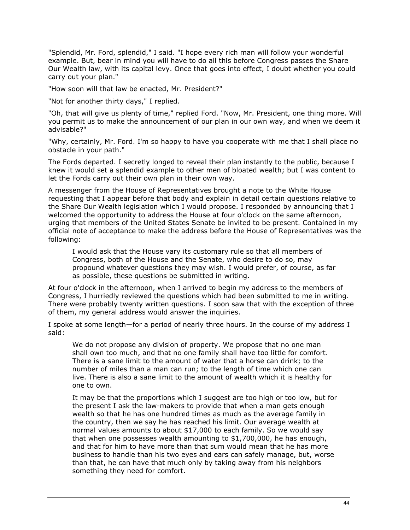"Splendid, Mr. Ford, splendid," I said. "I hope every rich man will follow your wonderful example. But, bear in mind you will have to do all this before Congress passes the Share Our Wealth law, with its capital levy. Once that goes into effect, I doubt whether you could carry out your plan."

"How soon will that law be enacted, Mr. President?"

"Not for another thirty days," I replied.

"Oh, that will give us plenty of time," replied Ford. "Now, Mr. President, one thing more. Will you permit us to make the announcement of our plan in our own way, and when we deem it advisable?"

"Why, certainly, Mr. Ford. I'm so happy to have you cooperate with me that I shall place no obstacle in your path."

The Fords departed. I secretly longed to reveal their plan instantly to the public, because I knew it would set a splendid example to other men of bloated wealth; but I was content to let the Fords carry out their own plan in their own way.

A messenger from the House of Representatives brought a note to the White House requesting that I appear before that body and explain in detail certain questions relative to the Share Our Wealth legislation which I would propose. I responded by announcing that I welcomed the opportunity to address the House at four o'clock on the same afternoon, urging that members of the United States Senate be invited to be present. Contained in my official note of acceptance to make the address before the House of Representatives was the following:

I would ask that the House vary its customary rule so that all members of Congress, both of the House and the Senate, who desire to do so, may propound whatever questions they may wish. I would prefer, of course, as far as possible, these questions be submitted in writing.

At four o'clock in the afternoon, when I arrived to begin my address to the members of Congress, I hurriedly reviewed the questions which had been submitted to me in writing. There were probably twenty written questions. I soon saw that with the exception of three of them, my general address would answer the inquiries.

I spoke at some length–for a period of nearly three hours. In the course of my address I said:

We do not propose any division of property. We propose that no one man shall own too much, and that no one family shall have too little for comfort. There is a sane limit to the amount of water that a horse can drink; to the number of miles than a man can run; to the length of time which one can live. There is also a sane limit to the amount of wealth which it is healthy for one to own.

It may be that the proportions which I suggest are too high or too low, but for the present I ask the law-makers to provide that when a man gets enough wealth so that he has one hundred times as much as the average family in the country, then we say he has reached his limit. Our average wealth at normal values amounts to about \$17,000 to each family. So we would say that when one possesses wealth amounting to \$1,700,000, he has enough, and that for him to have more than that sum would mean that he has more business to handle than his two eyes and ears can safely manage, but, worse than that, he can have that much only by taking away from his neighbors something they need for comfort.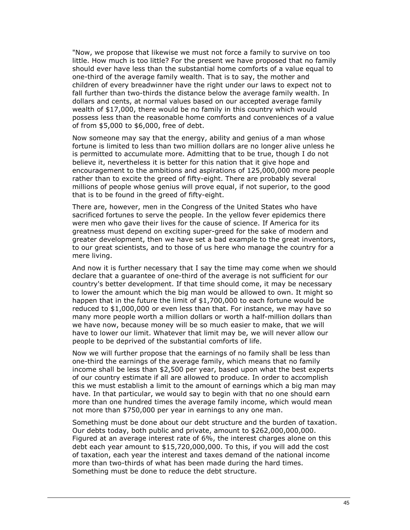"Now, we propose that likewise we must not force a family to survive on too little. How much is too little? For the present we have proposed that no family should ever have less than the substantial home comforts of a value equal to one-third of the average family wealth. That is to say, the mother and children of every breadwinner have the right under our laws to expect not to fall further than two-thirds the distance below the average family wealth. In dollars and cents, at normal values based on our accepted average family wealth of \$17,000, there would be no family in this country which would possess less than the reasonable home comforts and conveniences of a value of from \$5,000 to \$6,000, free of debt.

Now someone may say that the energy, ability and genius of a man whose fortune is limited to less than two million dollars are no longer alive unless he is permitted to accumulate more. Admitting that to be true, though I do not believe it, nevertheless it is better for this nation that it give hope and encouragement to the ambitions and aspirations of 125,000,000 more people rather than to excite the greed of fifty-eight. There are probably several millions of people whose genius will prove equal, if not superior, to the good that is to be found in the greed of fifty-eight.

There are, however, men in the Congress of the United States who have sacrificed fortunes to serve the people. In the yellow fever epidemics there were men who gave their lives for the cause of science. If America for its greatness must depend on exciting super-greed for the sake of modern and greater development, then we have set a bad example to the great inventors, to our great scientists, and to those of us here who manage the country for a mere living.

And now it is further necessary that I say the time may come when we should declare that a guarantee of one-third of the average is not sufficient for our country's better development. If that time should come, it may be necessary to lower the amount which the big man would be allowed to own. It might so happen that in the future the limit of \$1,700,000 to each fortune would be reduced to \$1,000,000 or even less than that. For instance, we may have so many more people worth a million dollars or worth a half-million dollars than we have now, because money will be so much easier to make, that we will have to lower our limit. Whatever that limit may be, we will never allow our people to be deprived of the substantial comforts of life.

Now we will further propose that the earnings of no family shall be less than one-third the earnings of the average family, which means that no family income shall be less than \$2,500 per year, based upon what the best experts of our country estimate if all are allowed to produce. In order to accomplish this we must establish a limit to the amount of earnings which a big man may have. In that particular, we would say to begin with that no one should earn more than one hundred times the average family income, which would mean not more than \$750,000 per year in earnings to any one man.

Something must be done about our debt structure and the burden of taxation. Our debts today, both public and private, amount to \$262,000,000,000. Figured at an average interest rate of 6%, the interest charges alone on this debt each year amount to \$15,720,000,000. To this, if you will add the cost of taxation, each year the interest and taxes demand of the national income more than two-thirds of what has been made during the hard times. Something must be done to reduce the debt structure.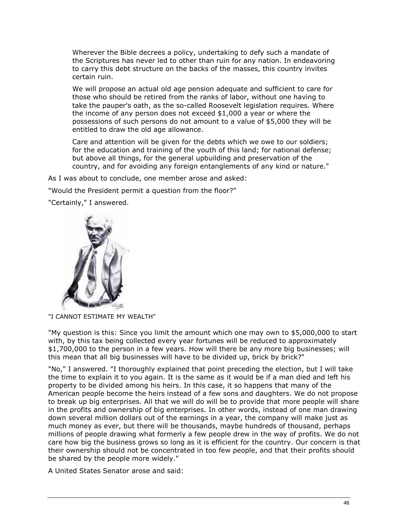Wherever the Bible decrees a policy, undertaking to defy such a mandate of the Scriptures has never led to other than ruin for any nation. In endeavoring to carry this debt structure on the backs of the masses, this country invites certain ruin.

We will propose an actual old age pension adequate and sufficient to care for those who should be retired from the ranks oflabor, without one having to take the pauper's oath, as the so-called Roosevelt legislation requires. Where the income of any person does not exceed \$1,000 a year or where the possessions of such persons do not amount to a value of \$5,000 they will be entitled to draw the old age allowance.

Care and attention will be given for the debts which we owe to our soldiers; for the education and training of the youth of this land; for national defense; but above all things, for the general upbuilding and preservation of the country, and for avoiding any foreign entanglements of any kind or nature."

As Iwas about to conclude, one member arose and asked:

"Would the President permit a question from the floor?"

"Certainly," I answered.



"I CANNOT ESTIMATE MY WEALTH"

"My question is this: Since you limit the amount which one may own to \$5,000,000 to start with, by this tax being collected every year fortunes will be reduced to approximately \$1,700,000 to the person in a few years. How will there be any more big businesses; will this mean that all big businesses will have to be divided up, brick by brick?"

"No," I answered. "I thoroughly explained that point preceding the election, but I will take the time to explain it to you again. It is the same as it would be if a man died and left his property to be divided among his heirs. In this case, it so happens that many of the American people become the heirs instead of a few sons and daughters. We do not propose to break up big enterprises. All that we will do will be to provide that more people will share in the profits and ownership of big enterprises. In other words, instead of one man drawing down several million dollars out of the earnings in a year, the company will make just as much money as ever, but there will be thousands, maybe hundreds of thousand, perhaps millions of people drawing what formerly a few people drew in the way of profits. We do not care how big the business grows so long as it is efficient for the country. Our concern is that their ownership should not be concentrated in too few people, and that their profits should be shared by the people more widely."

A United States Senator arose and said: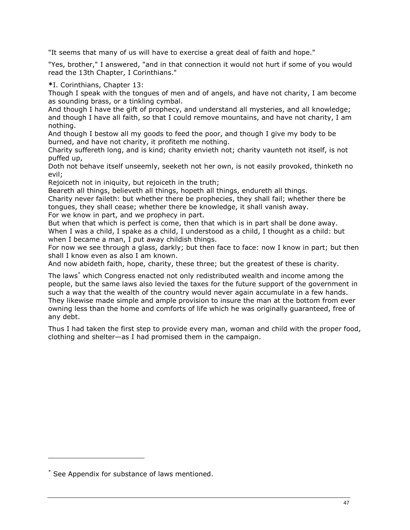"It seems that many of us will have to exercise a great deal of faith and hope."

"Yes, brother," I answered, "and in that connection it would not hurt if some of you would read the 13th Chapter, I Corinthians."

**\***I. Corinthians, Chapter 13:

Though I speak with the tongues of men and of angels, and have not charity, I am become as sounding brass, or a tinkling cymbal.

And though I have the gift of prophecy, and understand all mysteries, and all knowledge; and though I have all faith, so that I could remove mountains, and have not charity, I am nothing.

And though I bestow all my goods to feed the poor, and though I give my body to be burned, and have not charity, it profiteth me nothing.

Charity suffereth long, and is kind; charity envieth not; charity vaunteth not itself, is not puffed up,

Doth not behave itself unseemly, seeketh not her own, is not easily provoked, thinketh no evil;

Rejoiceth not in iniquity, but rejoiceth in the truth;

Beareth all things, believeth all things, hopeth all things, endureth all things.

Charity never faileth: but whether there be prophecies, they shall fail; whether there be tongues, they shall cease; whether there be knowledge, it shall vanish away.

For we know in part, and we prophecy in part.

But when that which is perfect is come, then that which is in part shall be done away. When I was a child, I spake as a child, I understood as a child, I thought as a child: but when I became a man, I put away childish things.

For now we see through a glass, darkly; but then face to face: now I know in part; but then shall I know even as also I am known.

And now abideth faith, hope, charity, these three; but the greatest of these is charity.

The laws \* which Congress enacted not only redistributed wealth and income among the people, but the same laws also levied the taxes for the future support of the government in such a way that the wealth of the country would never again accumulate in a few hands. They likewise made simple and ample provision to insure the man at the bottom from ever owning less than the home and comforts of life which he was originally guaranteed, free of any debt.

Thus I had taken the first step to provide every man, woman and child with the proper food, clothing and shelter-as I had promised them in the campaign.

l

<sup>\*</sup> See Appendix for substance of laws mentioned.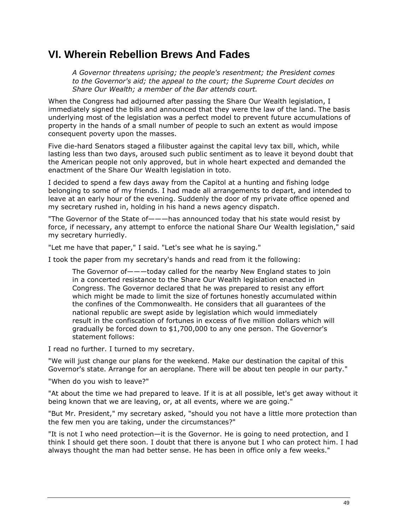### <span id="page-50-0"></span>**VI. Wherein Rebellion Brews And Fades**

*A Governor threatens uprising; the people's resentment; the President comes to the Governor's aid; the appeal to the court; the Supreme Court decides on Share Our Wealth; a member of the Bar attends court.*

When the Congress had adjourned after passing the Share Our Wealth legislation, I immediately signed the bills and announced that they were the law of the land. The basis underlying most of the legislation was a perfect model to prevent future accumulations of property in the hands of a small number of people to such an extent as would impose consequent poverty upon the masses.

Five die-hard Senators staged a filibuster against the capital levy tax bill, which, while lasting less than two days, aroused such public sentiment as to leave it beyond doubt that the American people not only approved, but in whole heart expected and demanded the enactment of the Share Our Wealth legislation in toto.

I decided to spend a few days away from the Capitol at a hunting and fishing lodge belonging to some of my friends. I had made all arrangements to depart, and intended to leave at an early hour of the evening. Suddenly the door of my private office opened and my secretary rushed in, holding in his hand a news agency dispatch.

"The Governor of the State of $---$ has announced today that his state would resist by force, if necessary, any attempt to enforce the national Share Our Wealth legislation," said my secretary hurriedly.

"Let me have that paper," I said. "Let's see what he is saying."

I took the paper from my secretary's hands and read from it the following:

The Governor of  $-$ —today called for the nearby New England states to join in a concerted resistance to the Share Our Wealth legislation enacted in Congress. The Governor declared that he was prepared to resist any effort which might be made to limit the size of fortunes honestly accumulated within the confines of the Commonwealth. He considers that all guarantees of the national republic are swept aside by legislation which would immediately result in the confiscation of fortunes in excess of five million dollars which will gradually be forced down to \$1,700,000 to any one person. The Governor's statement follows:

I read no further. I turned to my secretary.

"We will just change our plans for the weekend. Make our destination the capital of this Governor's state. Arrange for an aeroplane. There will be about ten people in our party."

"When do you wish to leave?"

"At about the time we had prepared to leave. If it is at all possible, let's get away without it being known that we are leaving, or, at all events, where we are going."

"But Mr. President," my secretary asked, "should you not have a little more protection than the few men you are taking, under the circumstances?"

"It is not I who need protection—it is the Governor. He is going to need protection, and I think I should get there soon. I doubt that there is anyone but I who can protect him. I had always thought the man had better sense. He has been in office only a few weeks."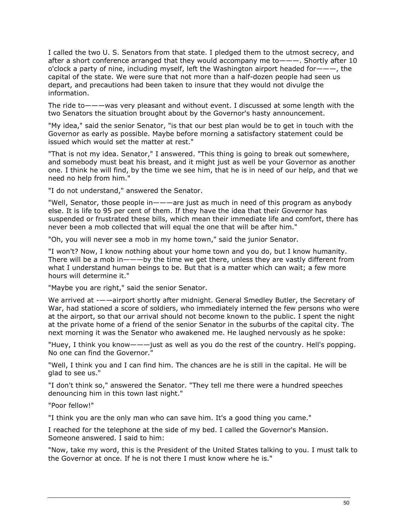I called the two U. S. Senators from that state. I pledged them to the utmost secrecy, and after a short conference arranged that they would accompany me to $---$ . Shortly after 10 o'clock a party of nine, including myself, left the Washington airport headed for $---$ , the capital of the state. We were sure that not more than a half-dozen people had seen us depart, and precautions had been taken to insure that they would not divulge the information.

The ride to $-\text{–}$  was very pleasant and without event. I discussed at some length with the two Senators the situation brought about by the Governor's hasty announcement.

"My idea," said the senior Senator, "is that our best plan would be to get in touch with the Governor as early as possible. Maybe before morning a satisfactory statement could be issued which would set the matter at rest."

"That is not my idea. Senator," I answered. "This thing is going to break out somewhere, and somebody must beat his breast, and it might just as well be your Governor as another one. I think he will find, by the time we see him, that he is in need of our help, and that we need no help from him."

"I do not understand," answered the Senator.

"Well, Senator, those people in $\sim$  - are just as much in need of this program as anybody else. It is life to 95 per cent of them. If they have the idea that their Governor has suspended or frustrated these bills, which mean their immediate life and comfort, there has never been a mob collected that will equal the one that will be after him."

"Oh, you will never see a mob in my home town," said the junior Senator.

"I won't? Now, I know nothing about your home town and you do, but I know humanity. There will be a mob in $-\text{-}$  by the time we get there, unless they are vastly different from what I understand human beings to be. But that is a matter which can wait; a few more hours will determine it."

"Maybe you are right," said the senior Senator.

We arrived at -——airport shortly after midnight. General Smedley Butler, the Secretary of War, had stationed a score of soldiers, who immediately interned the few persons who were at the airport, so that our arrival should not become known to the public. I spent the night at the private home of a friend of the senior Senator in the suburbs ofthe capital city. The next morning it was the Senator who awakened me. He laughed nervously as he spoke:

"Huey, I think you know— $-$  just as well as you do the rest of the country. Hell's popping. No one can find the Governor."

"Well, I think you and I can find him. The chances are he is still in the capital. He will be glad to see us."

"I don't think so," answered the Senator. "They tell me there were a hundred speeches denouncing him in this town last night."

"Poor fellow!"

"I think you are the only man who can save him. It's a good thing you came."

I reached for the telephone at the side of my bed. I called the Governor's Mansion. Someone answered. I said to him:

"Now, take my word, this is the President of the United States talking to you. I must talk to the Governor at once. If he is not there I must know where he is."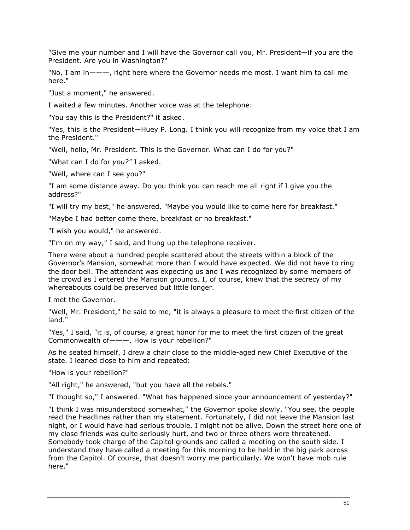"Give me your number and I will have the Governor call you, Mr. President—if you are the President. Are you in Washington?"

"No, I am in $\sim$  -, right here where the Governor needs me most. I want him to call me here."

"Just a moment," he answered.

I waited a few minutes. Another voice was at the telephone:

"You say this is the President?" it asked.

"Yes, this is the President—Huey P. Long. I think you will recognize from my voice that I am the President."

"Well, hello, Mr. President. This is the Governor. What can I do for you?"

"What can I do for *you?"* I asked.

"Well, where can I see you?"

"I am some distance away. Do you think you can reach me all right if I give you the address?"

"I will try my best," he answered. "Maybe you would like to come here for breakfast."

"Maybe I had better come there, breakfast or no breakfast."

"I wish you would," he answered.

"I'm on my way," I said, and hung up the telephone receiver.

There were about a hundred people scattered about the streets within a block of the Governor's Mansion, somewhat more than I would have expected. We did not have to ring the door bell. The attendant was expecting us and I was recognized by some members of the crowd as I entered the Mansion grounds. I, of course, knew that the secrecy of my whereabouts could be preserved but little longer.

I met the Governor.

"Well, Mr. President," he said to me, "it is always a pleasure to meet the first citizen of the land."

"Yes," I said, "it is, of course, a great honor for me to meet the first citizen of the great Commonwealth of $---$ . How is your rebellion?"

As he seated himself, I drew a chair close to the middle-aged new Chief Executive of the state. I leaned close to him and repeated:

"How is your rebellion?"

"All right," he answered, "but you have all the rebels."

"I thought so," I answered. "What has happened since your announcement of yesterday?"

"I think I was misunderstood somewhat," the Governor spoke slowly. "You see, the people read the headlines rather than my statement. Fortunately, I did not leave the Mansion last night, or I would have had serious trouble. I might not be alive. Down the street here one of my close friends was quite seriously hurt, and two or three others were threatened. Somebody took charge of the Capitol grounds and called a meeting on the south side. I understand they have called a meeting for this morning to be held in the big park across from the Capitol. Of course, that doesn't worry me particularly. We won't have mob rule here."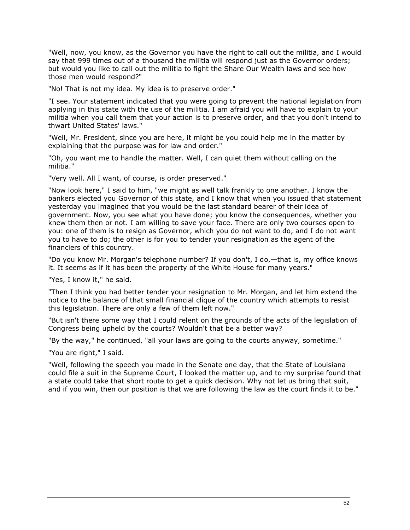"Well, now, you know, as the Governor you have the right to call out the militia, and I would say that 999 times out of a thousand the militia will respond just as the Governor orders; but would you like to call out the militia to fight the Share Our Wealth laws and see how those men would respond?"

"No! That is not my idea. My idea is to preserve order."

"I see. Your statement indicated that you were going to prevent the national legislation from applying in this state with the use of the militia. I am afraid you will have to explain to your militia when you call them that your action is to preserve order, and that you don't intend to thwart United States' laws."

"Well, Mr. President, since you are here, it might be you could help me in the matter by explaining that the purpose was for law and order."

"Oh, you want me to handle the matter. Well, I can quiet them without calling on the militia."

"Very well. All I want, of course, is order preserved."

"Now look here," I said to him, "we might as well talk frankly to one another. I know the bankers elected you Governor of this state, and I know that when you issued that statement yesterday you imagined that you would be the last standard bearer of their idea of government. Now, you see what you have done; you know the consequences, whether you knew them then ornot. I am willing to save your face. There are only two courses open to you: one of them is to resign as Governor, which you do not want to do, and I do not want you to have to do; the other is for you to tender your resignation as the agent of the financiers of this country.

"Do you know Mr. Morgan's telephone number? If you don't, I do, -that is, my office knows it. It seems as if it has been the property of the White House for many years."

"Yes, I know it," he said.

"Then I think you had better tender your resignation to Mr. Morgan, and let him extend the notice to the balance of that small financial clique of the country which attempts to resist this legislation. There are only a few of them left now."

"But isn't there some way that I could relent on the grounds of the acts of the legislation of Congress being upheld by the courts? Wouldn't that be a better way?

"By the way," he continued, "all your laws are going to the courts anyway, sometime."

"You are right," I said.

"Well, following the speech you made in the Senate one day, that the State of Louisiana could file a suit in the Supreme Court, I looked the matter up, and to my surprise found that a state could take that short route to get a quick decision. Why not let us bring that suit, and if you win, then our position is that we are following the law as the court finds it to be."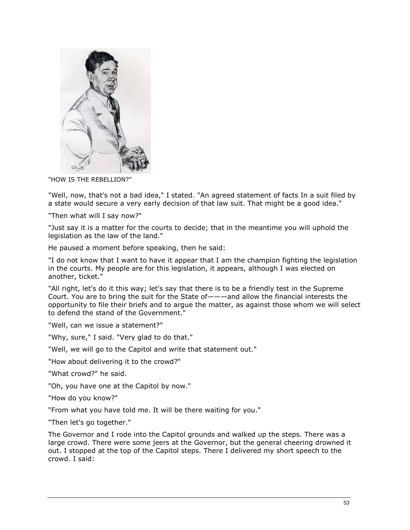

"HOW IS THE REBELLION?

"Well, now, that's not a bad idea," I stated. "An agreed statement of facts In a suit filed by a state would secure a very early decision of that law suit. That might be a good idea."

"Then what will I say now?"

"Just say it is a matter for the courts to decide; that in the meantime you will uphold the legislation as the law of the land."

He paused a moment before speaking, then he said:

"I do not know that I want to have it appear that I am the champion fighting the legislation in the courts. My people are for this legislation, it appears, although I was elected on another, ticket."

"All right, let's do it this way; let's say that there is to be a friendly test in the Supreme Court. You are to bring the suit for the State of  $---$  and allow the financial interests the opportunity to file their briefs and to argue the matter, as against those whom we will select to defend the stand of the Government."

"Well, can we issue a statement?"

"Why, sure," I said. "Very glad to do that."

"Well, we will go to the Capitol and write that statement out."

"How about delivering it to the crowd?"

"What crowd?" he said.

"Oh, you have one at the Capitol by now."

"How do you know?"

"From what you have told me. It will be there waiting for you."

"Then let's go together."

The Governor and I rode into the Capitol grounds and walked up the steps. There was a large crowd. There were some jeers at the Governor, but the general cheering drowned it out. I stopped at the top of the Capitol steps. There I delivered my short speech to the crowd. I said: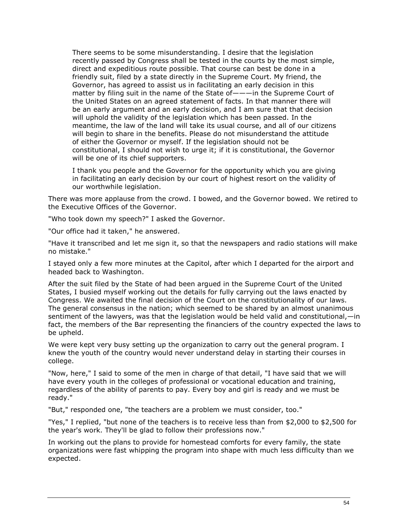There seems to be some misunderstanding. I desire that the legislation recently passed by Congress shall be tested in the courts by the most simple, direct and expeditious route possible. That course can best be done in a friendly suit, filed by a state directly in the Supreme Court. My friend, the Governor, has agreed to assist us in facilitating an early decision in this matter by filing suit in the name of the State of  $---i$ n the Supreme Court of the United States on an agreed statement of facts. In that manner there will be an early argument and an early decision, and I am sure that that decision will uphold the validity of the legislation which has been passed. In the meantime, the law of the land will take its usual course, and all of our citizens will begin to share in the benefits. Please do not misunderstand the attitude of either the Governor or myself. If the legislation should not be constitutional, I should not wish to urge it; if it is constitutional, the Governor will be one of its chief supporters.

I thank you people and the Governor for the opportunity which you are giving in facilitating an early decision by our court of highest resort on the validity of our worthwhile legislation.

There was more applause from the crowd. I bowed, and the Governor bowed. We retired to the Executive Offices of the Governor.

"Who took down my speech?" I asked the Governor.

"Our office had it taken," he answered.

"Have it transcribed and let me sign it, so that the newspapers and radio stations will make no mistake."

I stayed only a few more minutes at the Capitol, after which I departed for the airport and headed back to Washington.

After the suit filed by the State of had been argued in the Supreme Court of the United States, I busied myself working out the details for fully carrying out the laws enacted by Congress. We awaited the final decision of the Court on the constitutionality of our laws. The general consensus in the nation; which seemed to be shared by an almost unanimous sentiment of the lawyers, was that the legislation would be held valid and constitutional, $-i$ n fact, the members of the Bar representing the financiers of the country expected the laws to be upheld.

We were kept very busy setting up the organization to carry out the general program. I knew the youth of the country would never understand delay in starting their courses in college.

"Now, here," I said to some of the men in charge of that detail, "I have said that we will have every youth in the colleges of professional or vocational education and training, regardless of the ability of parents to pay. Every boy and girl is ready and we must be ready."

"But," responded one, "the teachers are a problem we must consider, too."

"Yes," I replied, "but none of the teachers is to receive less than from \$2,000 to \$2,500 for the year's work. They'll be glad to follow their professions now."

In working out the plans to provide for homestead comforts for every family, the state organizations were fast whipping the program into shape with much less difficulty than we expected.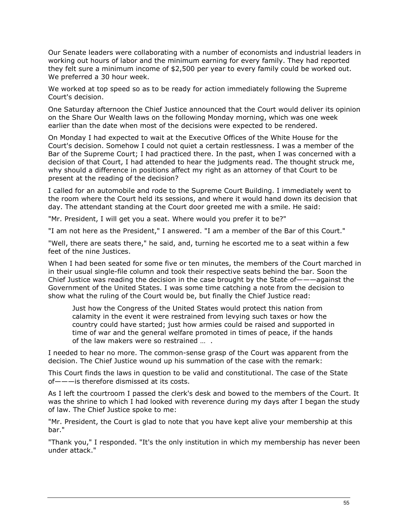Our Senate leaders were collaborating with a number of economists and industrial leaders in working out hours of labor and the minimum earning for every family. They had reported they felt sure a minimum income of \$2,500 per year to every family could be worked out. We preferred a 30 hour week.

We worked at top speed so as to be ready for action immediately following the Supreme Court's decision.

One Saturday afternoon the Chief Justice announced that the Court would deliver its opinion on the Share Our Wealth laws on the following Monday morning, which was one week earlier than the date when most of the decisions were expected to be rendered.

On Monday I had expected to wait at the Executive Offices of the White House for the Court's decision. Somehow I could not quiet a certain restlessness. I was a member of the Bar of the Supreme Court; I had practiced there. In the past, when I was concerned with a decision of that Court, I had attended to hear the judgments read. The thought struck me, why should a difference in positions affect my right as an attorney of that Court to be present at the reading of the decision?

I called for an automobile and rode to the Supreme Court Building. I immediately went to the room where the Court held its sessions, and where it would hand down its decision that day. The attendant standing at the Court door greeted me with a smile. He said:

"Mr. President, I will get you a seat. Where would you prefer it to be?"

"I am not here as the President," I answered. "I am a member of the Bar of this Court."

"Well, there are seats there," he said, and, turning he escorted me to a seat within a few feet of the nine Justices.

When I had been seated for some five or ten minutes, the members of the Court marched in in their usual single-file column and took their respective seats behind the bar. Soon the Chief Justice was reading the decision in the case brought by the State of— $-$ —against the Government of the United States. I was some time catching a note from the decision to show what the ruling of the Court would be, but finally the Chief Justice read:

Just how the Congress of the United States would protect this nation from calamity in the event it were restrained from levying such taxes or how the country could have started; just how armies could be raised and supported in time of war and the general welfare promoted in times of peace, if the hands of the law makers were so restrained ... .

I needed to hear no more. The common-sense grasp of the Court was apparent from the decision. The Chief Justice wound up his summation of the case with the remark:

This Court finds the laws in question to be valid and constitutional. The case of the State  $of$   $-$  is therefore dismissed at its costs.

As Ileft the courtroom I passed the clerk's desk and bowed to the members of the Court. It was the shrine to which I had looked with reverence during my days after I began the study of law. The Chief Justice spoke to me:

"Mr. President, the Court is glad to note that you have kept alive your membership at this bar."

"Thank you," I responded. "It's the only institution in which my membership has never been under attack."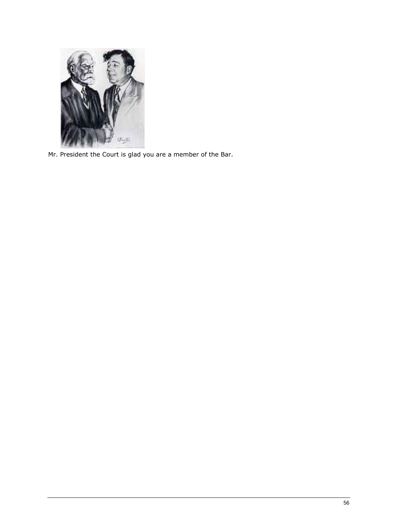

Mr. President the Court is glad you are a member of the Bar.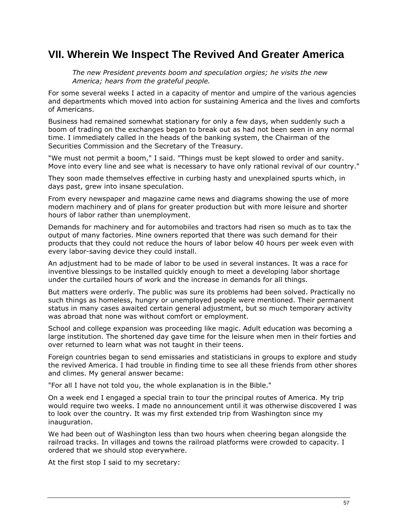### <span id="page-58-0"></span>**VII. Wherein We Inspect The Revived And Greater America**

*The new President prevents boom and speculation orgies; he visits the new America; hears from the grateful people.*

For some several weeks Iacted in a capacity of mentor and umpire of the various agencies and departments which moved into action for sustaining America and the lives and comforts of Americans.

Business had remained somewhat stationary for only a few days, when suddenly such a boom of trading on the exchanges began to break out as had not been seen in any normal time. I immediately called in the heads of the banking system, the Chairman of the Securities Commission and the Secretary of the Treasury.

"We must not permit a boom," I said. "Things must be kept slowed to order and sanity. Move into every line and see what is necessary to have only rational revival of our country."

They soon made themselves effective in curbing hasty and unexplained spurts which, in days past, grew into insane speculation.

From every newspaper and magazine came news and diagrams showing the use of more modern machinery and of plans for greater production but with more leisure and shorter hours of labor rather than unemployment.

Demands for machinery and for automobiles and tractors had risen so much as to tax the output of many factories. Mine owners reported that there was such demand for their products that they could not reduce the hours of labor below 40 hours per week even with every labor-saving device they could install.

An adjustment had to be made of labor to be used in several instances. It was a race for inventive blessings to be installed quickly enough to meet a developing labor shortage under the curtailed hours of work and the increase in demands for all things.

But matters were orderly. The public was sure its problems had been solved. Practically no such things as homeless, hungry or unemployed people were mentioned. Their permanent status in many cases awaited certain general adjustment, but so much temporary activity was abroad that none was without comfort or employment.

School and college expansion was proceeding like magic. Adult education was becoming a large institution. The shortened day gave time for the leisure when men in their forties and over returned to learn what was not taught in their teens.

Foreign countries began to send emissaries and statisticians in groups to explore and study the revived America. I had trouble in finding time to see all these friends from other shores and climes. My general answer became:

"For all I have not told you, the whole explanation is in the Bible."

On a week end I engaged a special train to tour the principal routes of America. My trip would require two weeks. I made no announcement until it was otherwise discovered I was to look over the country. It was my first extended trip from Washington since my inauguration.

We had been out of Washington less than two hours when cheering began alongside the railroad tracks. In villages and towns the railroad platforms were crowded to capacity. I ordered that we should stop everywhere.

At the first stop I said to my secretary: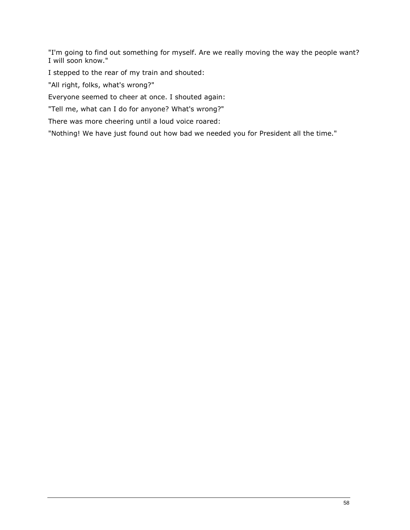"I'm going to find out something for myself. Are we really moving the way the people want? I will soon know."

I stepped to the rear of my train and shouted:

"All right, folks, what's wrong?"

Everyone seemed to cheer at once. I shouted again:

"Tell me, what can I do for anyone? What's wrong?"

There was more cheering until a loud voice roared:

"Nothing! We have just found out how bad we needed you for President all the time."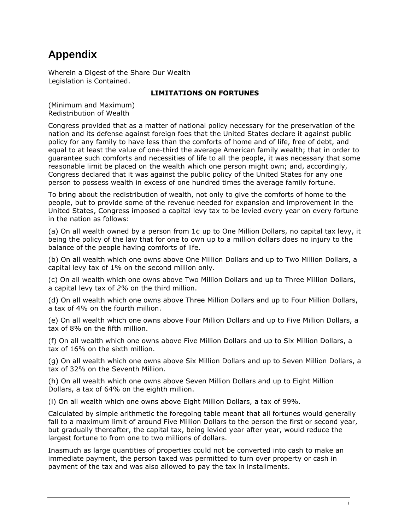# <span id="page-60-0"></span>**Appendix**

Wherein a Digest of the Share Our Wealth Legislation is Contained.

### **LIMITATIONS ON FORTUNES**

(Minimum and Maximum) Redistribution of Wealth

Congress provided that as a matter of national policy necessary for the preservation of the nation and its defense against foreign foes that the United States declare it against public policy for any family to have less than the comforts of home and of life, free of debt, and equal to at least the value of one-third the average American family wealth; that in order to guarantee such comforts and necessities of life to all the people, it was necessary that some reasonable limit be placed on the wealth which one person might own; and, accordingly, Congress declared that it was against the public policy of the United States for any one person to possess wealth in excess of one hundred times the average family fortune.

To bring about the redistribution of wealth, not only to give the comforts of home to the people, but to provide some of the revenue needed for expansion and improvement in the United States, Congress imposed a capital levy tax to be levied every year on every fortune in the nation as follows:

(a) On all wealth owned by a person from 1¢ up to One Million Dollars, no capital tax levy, it being the policy of the law that for one to own up to a million dollars does no injury to the balance of the people having comforts of life.

(b) On all wealth which one owns above One Million Dollars and up to Two Million Dollars, a capital levy tax of 1% on the second million only.

(c) On all wealth which one owns above Two Million Dollars and up to Three Million Dollars, a capital levy tax of *2%* on the third million.

(d) On all wealth which one owns above Three Million Dollars and up to Four Million Dollars, a tax of 4% on the fourth million.

(e) On all wealth which one owns above Four Million Dollars and up to Five Million Dollars, a tax of 8% on the fifth million.

(f) On all wealth which one owns above Five Million Dollars and up to Six Million Dollars, a tax of 16% on the sixth million.

(g) On all wealth which one owns above Six Million Dollars and up to Seven Million Dollars, a tax of 32% on the Seventh Million.

(h) On all wealth which one owns above Seven Million Dollars and up to Eight Million Dollars, a tax of 64% on the eighth million.

(i) On all wealth which one owns above Eight Million Dollars, a tax of 99%.

Calculated by simple arithmetic the foregoing table meant that all fortunes would generally fall to a maximum limit of around Five Million Dollars to the person the first or second year, but gradually thereafter, the capital tax, being levied year after year, would reduce the largest fortune to from one to two millions of dollars.

Inasmuch as large quantities of properties could not be converted into cash to make an immediate payment, the person taxed was permitted to turn over property or cash in payment of the tax and was also allowed to pay the tax in installments.